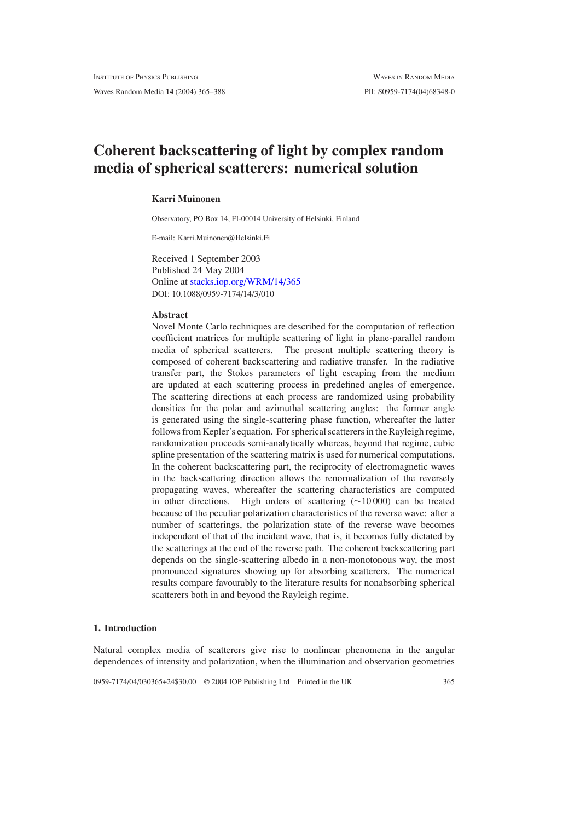Waves Random Media **14** (2004) 365–388 PII: S0959-7174(04)68348-0

# **Coherent backscattering of light by complex random media of spherical scatterers: numerical solution**

## **Karri Muinonen**

Observatory, PO Box 14, FI-00014 University of Helsinki, Finland

E-mail: Karri.Muinonen@Helsinki.Fi

Received 1 September 2003 Published 24 May 2004 Online at [stacks.iop.org/WRM/14/365](http://stacks.iop.org/wr/14/365) DOI: 10.1088/0959-7174/14/3/010

## **Abstract**

Novel Monte Carlo techniques are described for the computation of reflection coefficient matrices for multiple scattering of light in plane-parallel random media of spherical scatterers. The present multiple scattering theory is composed of coherent backscattering and radiative transfer. In the radiative transfer part, the Stokes parameters of light escaping from the medium are updated at each scattering process in predefined angles of emergence. The scattering directions at each process are randomized using probability densities for the polar and azimuthal scattering angles: the former angle is generated using the single-scattering phase function, whereafter the latter follows from Kepler's equation. For spherical scatterers in the Rayleigh regime, randomization proceeds semi-analytically whereas, beyond that regime, cubic spline presentation of the scattering matrix is used for numerical computations. In the coherent backscattering part, the reciprocity of electromagnetic waves in the backscattering direction allows the renormalization of the reversely propagating waves, whereafter the scattering characteristics are computed in other directions. High orders of scattering (∼10 000) can be treated because of the peculiar polarization characteristics of the reverse wave: after a number of scatterings, the polarization state of the reverse wave becomes independent of that of the incident wave, that is, it becomes fully dictated by the scatterings at the end of the reverse path. The coherent backscattering part depends on the single-scattering albedo in a non-monotonous way, the most pronounced signatures showing up for absorbing scatterers. The numerical results compare favourably to the literature results for nonabsorbing spherical scatterers both in and beyond the Rayleigh regime.

## **1. Introduction**

Natural complex media of scatterers give rise to nonlinear phenomena in the angular dependences of intensity and polarization, when the illumination and observation geometries

0959-7174/04/030365+24\$30.00 © 2004 IOP Publishing Ltd Printed in the UK 365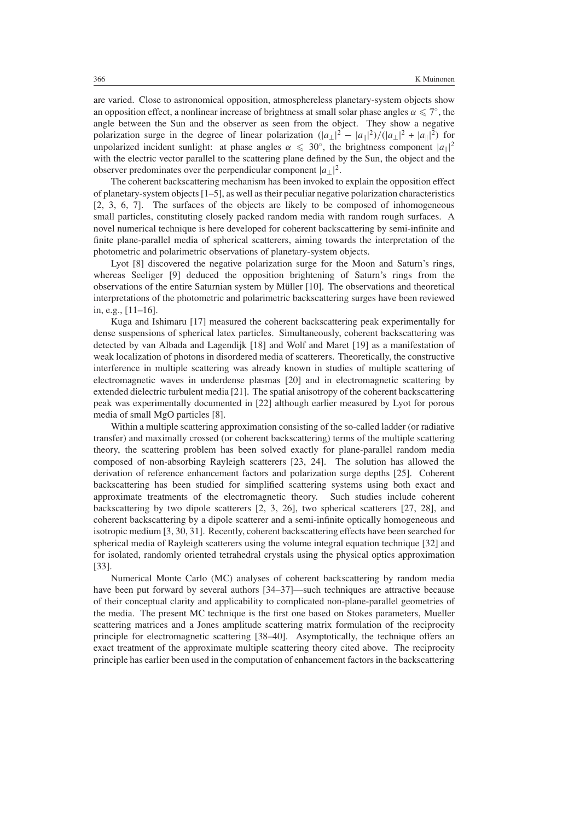are varied. Close to astronomical opposition, atmosphereless planetary-system objects show an opposition effect, a nonlinear increase of brightness at small solar phase angles  $\alpha \leq 7^\circ$ , the angle between the Sun and the observer as seen from the object. They show a negative polarization surge in the degree of linear polarization  $(|a_\perp|^2 - |a_\parallel|^2)/(|a_\perp|^2 + |a_\parallel|^2)$  for unpolarized incident sunlight: at phase angles  $\alpha \leq 30^\circ$ , the brightness component  $|a_{\parallel}|^2$ with the electric vector parallel to the scattering plane defined by the Sun, the object and the observer predominates over the perpendicular component  $|a_\perp|^2$ .

The coherent backscattering mechanism has been invoked to explain the opposition effect of planetary-system objects [1–5], as well as their peculiar negative polarization characteristics [2, 3, 6, 7]. The surfaces of the objects are likely to be composed of inhomogeneous small particles, constituting closely packed random media with random rough surfaces. A novel numerical technique is here developed for coherent backscattering by semi-infinite and finite plane-parallel media of spherical scatterers, aiming towards the interpretation of the photometric and polarimetric observations of planetary-system objects.

Lyot [8] discovered the negative polarization surge for the Moon and Saturn's rings, whereas Seeliger [9] deduced the opposition brightening of Saturn's rings from the observations of the entire Saturnian system by Müller  $[10]$ . The observations and theoretical interpretations of the photometric and polarimetric backscattering surges have been reviewed in, e.g., [11–16].

Kuga and Ishimaru [17] measured the coherent backscattering peak experimentally for dense suspensions of spherical latex particles. Simultaneously, coherent backscattering was detected by van Albada and Lagendijk [18] and Wolf and Maret [19] as a manifestation of weak localization of photons in disordered media of scatterers. Theoretically, the constructive interference in multiple scattering was already known in studies of multiple scattering of electromagnetic waves in underdense plasmas [20] and in electromagnetic scattering by extended dielectric turbulent media [21]. The spatial anisotropy of the coherent backscattering peak was experimentally documented in [22] although earlier measured by Lyot for porous media of small MgO particles [8].

Within a multiple scattering approximation consisting of the so-called ladder (or radiative transfer) and maximally crossed (or coherent backscattering) terms of the multiple scattering theory, the scattering problem has been solved exactly for plane-parallel random media composed of non-absorbing Rayleigh scatterers [23, 24]. The solution has allowed the derivation of reference enhancement factors and polarization surge depths [25]. Coherent backscattering has been studied for simplified scattering systems using both exact and approximate treatments of the electromagnetic theory. Such studies include coherent backscattering by two dipole scatterers [2, 3, 26], two spherical scatterers [27, 28], and coherent backscattering by a dipole scatterer and a semi-infinite optically homogeneous and isotropic medium [3, 30, 31]. Recently, coherent backscattering effects have been searched for spherical media of Rayleigh scatterers using the volume integral equation technique [32] and for isolated, randomly oriented tetrahedral crystals using the physical optics approximation [33].

Numerical Monte Carlo (MC) analyses of coherent backscattering by random media have been put forward by several authors [34–37]—such techniques are attractive because of their conceptual clarity and applicability to complicated non-plane-parallel geometries of the media. The present MC technique is the first one based on Stokes parameters, Mueller scattering matrices and a Jones amplitude scattering matrix formulation of the reciprocity principle for electromagnetic scattering [38–40]. Asymptotically, the technique offers an exact treatment of the approximate multiple scattering theory cited above. The reciprocity principle has earlier been used in the computation of enhancement factors in the backscattering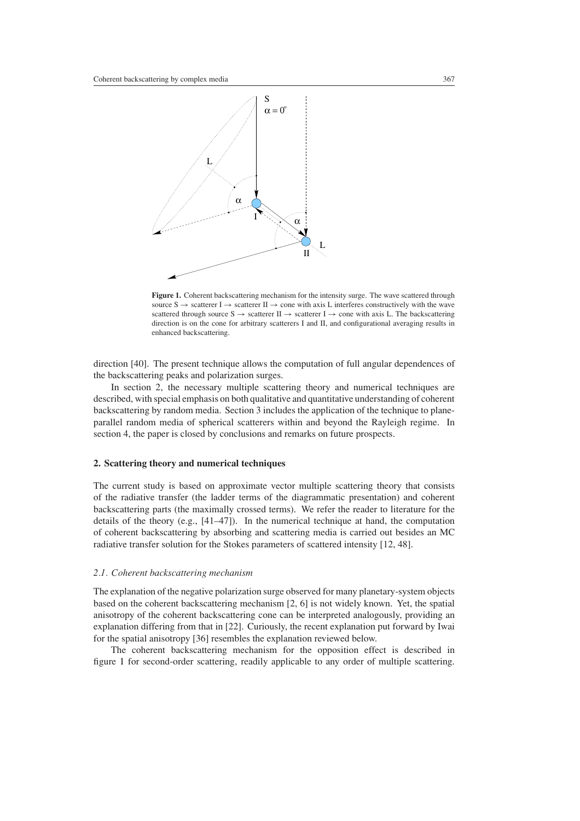

<span id="page-2-0"></span>**Figure 1.** Coherent backscattering mechanism for the intensity surge. The wave scattered through source  $S \rightarrow$  scatterer I  $\rightarrow$  scatterer II  $\rightarrow$  cone with axis L interferes constructively with the wave scattered through source  $S \rightarrow$  scatterer II  $\rightarrow$  scatterer I  $\rightarrow$  cone with axis L. The backscattering direction is on the cone for arbitrary scatterers I and II, and configurational averaging results in enhanced backscattering.

direction [40]. The present technique allows the computation of full angular dependences of the backscattering peaks and polarization surges.

In section 2, the necessary multiple scattering theory and numerical techniques are described, with special emphasis on both qualitative and quantitative understanding of coherent backscattering by random media. Section 3 includes the application of the technique to planeparallel random media of spherical scatterers within and beyond the Rayleigh regime. In section 4, the paper is closed by conclusions and remarks on future prospects.

## **2. Scattering theory and numerical techniques**

The current study is based on approximate vector multiple scattering theory that consists of the radiative transfer (the ladder terms of the diagrammatic presentation) and coherent backscattering parts (the maximally crossed terms). We refer the reader to literature for the details of the theory (e.g., [41–47]). In the numerical technique at hand, the computation of coherent backscattering by absorbing and scattering media is carried out besides an MC radiative transfer solution for the Stokes parameters of scattered intensity [12, 48].

#### *2.1. Coherent backscattering mechanism*

The explanation of the negative polarization surge observed for many planetary-system objects based on the coherent backscattering mechanism [2, 6] is not widely known. Yet, the spatial anisotropy of the coherent backscattering cone can be interpreted analogously, providing an explanation differing from that in [22]. Curiously, the recent explanation put forward by Iwai for the spatial anisotropy [36] resembles the explanation reviewed below.

The coherent backscattering mechanism for the opposition effect is described in figure [1](#page-2-0) for second-order scattering, readily applicable to any order of multiple scattering.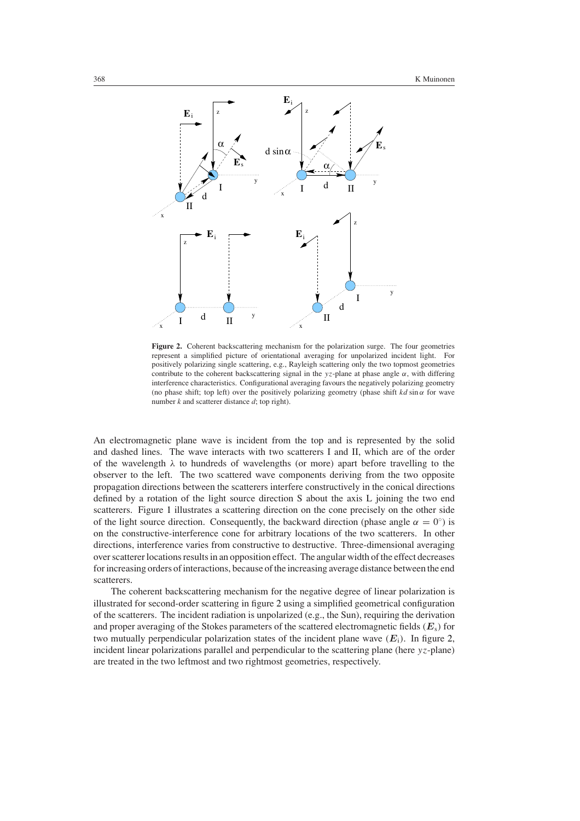

<span id="page-3-0"></span>**Figure 2.** Coherent backscattering mechanism for the polarization surge. The four geometries represent a simplified picture of orientational averaging for unpolarized incident light. For positively polarizing single scattering, e.g., Rayleigh scattering only the two topmost geometries contribute to the coherent backscattering signal in the *yz*-plane at phase angle *α*, with differing interference characteristics. Configurational averaging favours the negatively polarizing geometry (no phase shift; top left) over the positively polarizing geometry (phase shift  $kd \sin \alpha$  for wave number *k* and scatterer distance *d*; top right).

An electromagnetic plane wave is incident from the top and is represented by the solid and dashed lines. The wave interacts with two scatterers I and II, which are of the order of the wavelength *λ* to hundreds of wavelengths (or more) apart before travelling to the observer to the left. The two scattered wave components deriving from the two opposite propagation directions between the scatterers interfere constructively in the conical directions defined by a rotation of the light source direction S about the axis L joining the two end scatterers. Figure [1](#page-2-0) illustrates a scattering direction on the cone precisely on the other side of the light source direction. Consequently, the backward direction (phase angle  $\alpha = 0^{\circ}$ ) is on the constructive-interference cone for arbitrary locations of the two scatterers. In other directions, interference varies from constructive to destructive. Three-dimensional averaging over scatterer locations results in an opposition effect. The angular width of the effect decreases for increasing orders of interactions, because of the increasing average distance between the end scatterers.

The coherent backscattering mechanism for the negative degree of linear polarization is illustrated for second-order scattering in figure [2](#page-3-0) using a simplified geometrical configuration of the scatterers. The incident radiation is unpolarized (e.g., the Sun), requiring the derivation and proper averaging of the Stokes parameters of the scattered electromagnetic fields  $(E_s)$  for two mutually perpendicular polarization states of the incident plane wave  $(E_i)$ . In figure [2,](#page-3-0) incident linear polarizations parallel and perpendicular to the scattering plane (here *yz*-plane) are treated in the two leftmost and two rightmost geometries, respectively.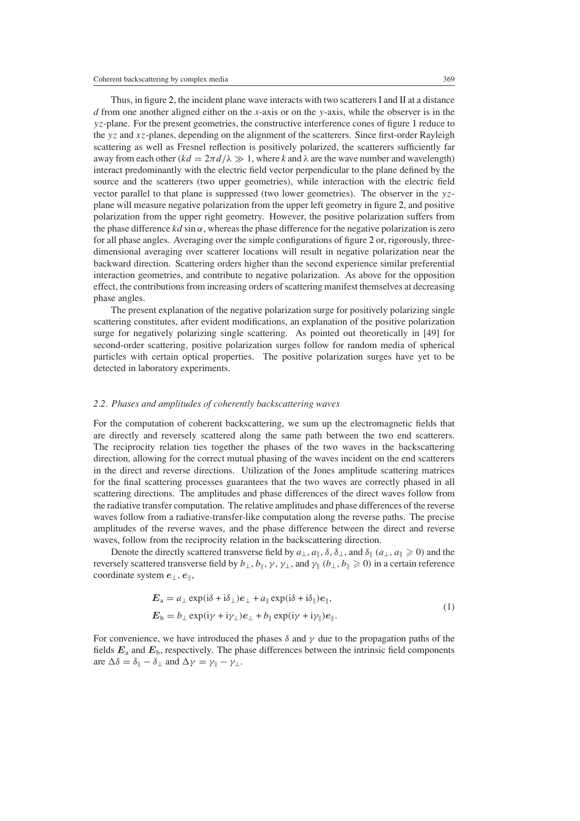Thus, in figure [2,](#page-3-0) the incident plane wave interacts with two scatterers I and II at a distance *d* from one another aligned either on the *x*-axis or on the *y*-axis, while the observer is in the *yz*-plane. For the present geometries, the constructive interference cones of figure [1](#page-2-0) reduce to the *yz* and *xz*-planes, depending on the alignment of the scatterers. Since first-order Rayleigh scattering as well as Fresnel reflection is positively polarized, the scatterers sufficiently far away from each other  $(kd = 2\pi d/\lambda \gg 1$ , where k and  $\lambda$  are the wave number and wavelength) interact predominantly with the electric field vector perpendicular to the plane defined by the source and the scatterers (two upper geometries), while interaction with the electric field vector parallel to that plane is suppressed (two lower geometries). The observer in the *yz*plane will measure negative polarization from the upper left geometry in figure [2,](#page-3-0) and positive polarization from the upper right geometry. However, the positive polarization suffers from the phase difference  $kd \sin \alpha$ , whereas the phase difference for the negative polarization is zero for all phase angles. Averaging over the simple configurations of figure [2](#page-3-0) or, rigorously, threedimensional averaging over scatterer locations will result in negative polarization near the backward direction. Scattering orders higher than the second experience similar preferential interaction geometries, and contribute to negative polarization. As above for the opposition effect, the contributions from increasing orders of scattering manifest themselves at decreasing phase angles.

The present explanation of the negative polarization surge for positively polarizing single scattering constitutes, after evident modifications, an explanation of the positive polarization surge for negatively polarizing single scattering. As pointed out theoretically in [49] for second-order scattering, positive polarization surges follow for random media of spherical particles with certain optical properties. The positive polarization surges have yet to be detected in laboratory experiments.

## *2.2. Phases and amplitudes of coherently backscattering waves*

For the computation of coherent backscattering, we sum up the electromagnetic fields that are directly and reversely scattered along the same path between the two end scatterers. The reciprocity relation ties together the phases of the two waves in the backscattering direction, allowing for the correct mutual phasing of the waves incident on the end scatterers in the direct and reverse directions. Utilization of the Jones amplitude scattering matrices for the final scattering processes guarantees that the two waves are correctly phased in all scattering directions. The amplitudes and phase differences of the direct waves follow from the radiative transfer computation. The relative amplitudes and phase differences of the reverse waves follow from a radiative-transfer-like computation along the reverse paths. The precise amplitudes of the reverse waves, and the phase difference between the direct and reverse waves, follow from the reciprocity relation in the backscattering direction.

Denote the directly scattered transverse field by  $a_{\perp}$ ,  $a_{\parallel}$ ,  $\delta$ ,  $\delta_{\perp}$ , and  $\delta_{\parallel}$  ( $a_{\perp}$ ,  $a_{\parallel} \ge 0$ ) and the reversely scattered transverse field by  $b_\perp$ ,  $b_\parallel$ ,  $\gamma$ ,  $\gamma_\perp$ , and  $\gamma_\parallel$  ( $b_\perp$ ,  $b_\parallel \geqslant 0$ ) in a certain reference coordinate system *e*⊥*, e*,

$$
E_{\mathbf{a}} = a_{\perp} \exp(i\delta + i\delta_{\perp})e_{\perp} + a_{\parallel} \exp(i\delta + i\delta_{\parallel})e_{\parallel},
$$
  
\n
$$
E_{\mathbf{b}} = b_{\perp} \exp(i\gamma + i\gamma_{\perp})e_{\perp} + b_{\parallel} \exp(i\gamma + i\gamma_{\parallel})e_{\parallel}.
$$
 (1)

For convenience, we have introduced the phases  $\delta$  and  $\gamma$  due to the propagation paths of the fields *E*<sup>a</sup> and *E*b, respectively. The phase differences between the intrinsic field components are  $\Delta \delta = \delta_{\parallel} - \delta_{\perp}$  and  $\Delta \gamma = \gamma_{\parallel} - \gamma_{\perp}$ .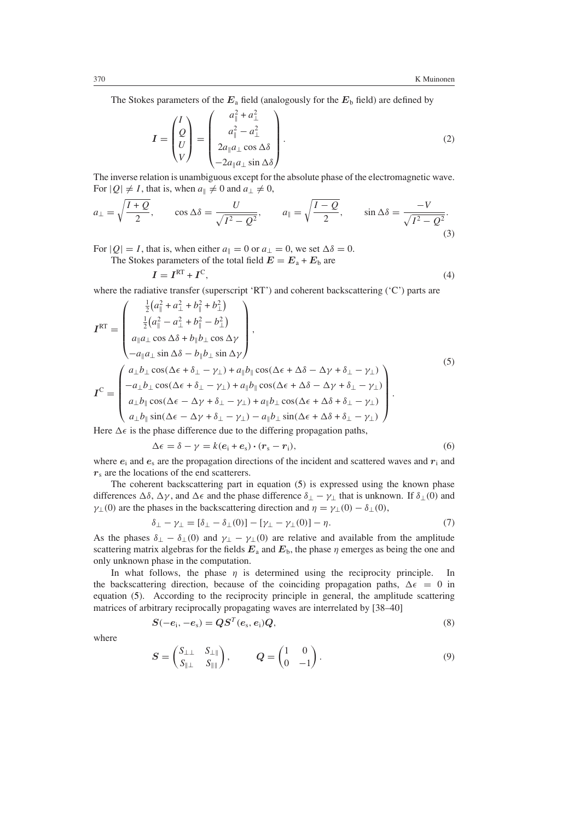The Stokes parameters of the  $E_a$  field (analogously for the  $E_b$  field) are defined by

$$
I = \begin{pmatrix} I \\ Q \\ U \\ V \end{pmatrix} = \begin{pmatrix} a_{\parallel}^2 + a_{\perp}^2 \\ a_{\parallel}^2 - a_{\perp}^2 \\ 2a_{\parallel}a_{\perp}\cos\Delta\delta \\ -2a_{\parallel}a_{\perp}\sin\Delta\delta \end{pmatrix}.
$$
 (2)

The inverse relation is unambiguous except for the absolute phase of the electromagnetic wave. For  $|Q| \neq I$ , that is, when  $a_{\parallel} \neq 0$  and  $a_{\perp} \neq 0$ ,

$$
a_{\perp} = \sqrt{\frac{I+Q}{2}}, \qquad \cos \Delta \delta = \frac{U}{\sqrt{I^2 - Q^2}}, \qquad a_{\parallel} = \sqrt{\frac{I-Q}{2}}, \qquad \sin \Delta \delta = \frac{-V}{\sqrt{I^2 - Q^2}}.
$$
\n(3)

For  $|Q| = I$ , that is, when either  $a_{\parallel} = 0$  or  $a_{\perp} = 0$ , we set  $\Delta \delta = 0$ .

The Stokes parameters of the total field  $E = E_a + E_b$  are

$$
I = IRT + IC,
$$
\n(4)

where the radiative transfer (superscript 'RT') and coherent backscattering ('C') parts are

<span id="page-5-0"></span>
$$
I^{RT} = \begin{pmatrix} \frac{1}{2} (a_{\parallel}^{2} + a_{\perp}^{2} + b_{\parallel}^{2} + b_{\perp}^{2}) \\ \frac{1}{2} (a_{\parallel}^{2} - a_{\perp}^{2} + b_{\parallel}^{2} - b_{\perp}^{2}) \\ a_{\parallel} a_{\perp} \cos \Delta \delta + b_{\parallel} b_{\perp} \cos \Delta \gamma \\ -a_{\parallel} a_{\perp} \sin \Delta \delta - b_{\parallel} b_{\perp} \sin \Delta \gamma \end{pmatrix},
$$
  
\n
$$
I^{C} = \begin{pmatrix} a_{\perp} b_{\perp} \cos(\Delta \epsilon + \delta_{\perp} - \gamma_{\perp}) + a_{\parallel} b_{\parallel} \cos(\Delta \epsilon + \Delta \delta - \Delta \gamma + \delta_{\perp} - \gamma_{\perp}) \\ -a_{\perp} b_{\perp} \cos(\Delta \epsilon + \delta_{\perp} - \gamma_{\perp}) + a_{\parallel} b_{\parallel} \cos(\Delta \epsilon + \Delta \delta - \Delta \gamma + \delta_{\perp} - \gamma_{\perp}) \\ a_{\perp} b_{\parallel} \cos(\Delta \epsilon - \Delta \gamma + \delta_{\perp} - \gamma_{\perp}) + a_{\parallel} b_{\perp} \cos(\Delta \epsilon + \Delta \delta + \delta_{\perp} - \gamma_{\perp}) \\ a_{\perp} b_{\parallel} \sin(\Delta \epsilon - \Delta \gamma + \delta_{\perp} - \gamma_{\perp}) - a_{\parallel} b_{\perp} \sin(\Delta \epsilon + \Delta \delta + \delta_{\perp} - \gamma_{\perp}) \end{pmatrix}.
$$
  
\n(5)

Here  $\Delta \epsilon$  is the phase difference due to the differing propagation paths,

$$
\Delta \epsilon = \delta - \gamma = k(e_i + e_s) \cdot (r_s - r_i), \tag{6}
$$

where  $e_i$  and  $e_s$  are the propagation directions of the incident and scattered waves and  $r_i$  and  $r<sub>s</sub>$  are the locations of the end scatterers.

The coherent backscattering part in equation [\(5\)](#page-5-0) is expressed using the known phase differences  $\Delta \delta$ ,  $\Delta \gamma$ , and  $\Delta \epsilon$  and the phase difference  $\delta_{\perp} - \gamma_{\perp}$  that is unknown. If  $\delta_{\perp}(0)$  and *γ*<sub>⊥</sub>(0)</sub> are the phases in the backscattering direction and  $η = γ_1(0) - δ_1(0)$ ,

$$
\delta_{\perp} - \gamma_{\perp} = [\delta_{\perp} - \delta_{\perp}(0)] - [\gamma_{\perp} - \gamma_{\perp}(0)] - \eta. \tag{7}
$$

As the phases  $\delta_{\perp} - \delta_{\perp}(0)$  and  $\gamma_{\perp} - \gamma_{\perp}(0)$  are relative and available from the amplitude scattering matrix algebras for the fields  $E_a$  and  $E_b$ , the phase  $\eta$  emerges as being the one and only unknown phase in the computation.

In what follows, the phase *η* is determined using the reciprocity principle. In the backscattering direction, because of the coinciding propagation paths,  $\Delta \epsilon = 0$  in equation [\(5\)](#page-5-0). According to the reciprocity principle in general, the amplitude scattering matrices of arbitrary reciprocally propagating waves are interrelated by [38–40]

$$
S(-ei, -es) = QST(es, ei)Q,
$$
\n(8)

<span id="page-5-1"></span>where

$$
S = \begin{pmatrix} S_{\perp \perp} & S_{\perp \parallel} \\ S_{\parallel \perp} & S_{\parallel \parallel} \end{pmatrix}, \qquad Q = \begin{pmatrix} 1 & 0 \\ 0 & -1 \end{pmatrix} . \tag{9}
$$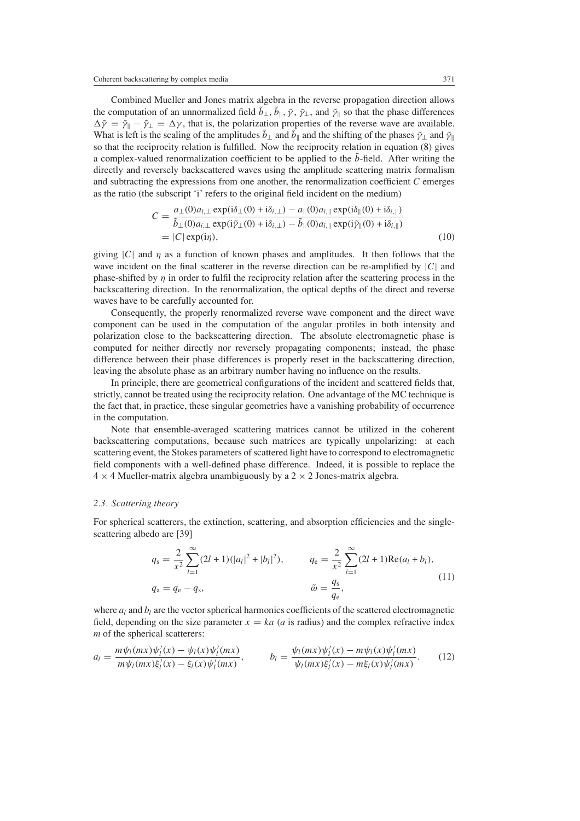Combined Mueller and Jones matrix algebra in the reverse propagation direction allows the computation of an unnormalized field  $\tilde{b}_\perp$ ,  $\tilde{b}_\parallel$ ,  $\tilde{\gamma}$ ,  $\tilde{\gamma}_\perp$ , and  $\tilde{\gamma}_\parallel$  so that the phase differences  $\Delta \tilde{\gamma} = \tilde{\gamma}_1 - \tilde{\gamma}_2 = \Delta \gamma$ , that is, the polarization properties of the reverse wave are available. What is left is the scaling of the amplitudes  $\tilde{b}_\perp$  and  $\tilde{b}_\parallel$  and the shifting of the phases  $\tilde{\gamma}_\perp$  and  $\tilde{\gamma}_\parallel$ so that the reciprocity relation is fulfilled. Now the reciprocity relation in equation [\(8\)](#page-5-1) gives a complex-valued renormalization coefficient to be applied to the  $\tilde{b}$ -field. After writing the directly and reversely backscattered waves using the amplitude scattering matrix formalism and subtracting the expressions from one another, the renormalization coefficient *C* emerges as the ratio (the subscript 'i' refers to the original field incident on the medium)

$$
C = \frac{a_{\perp}(0)a_{i,\perp} \exp(i\delta_{\perp}(0) + i\delta_{i,\perp}) - a_{\parallel}(0)a_{i,\parallel} \exp(i\delta_{\parallel}(0) + i\delta_{i,\parallel})}{\tilde{b}_{\perp}(0)a_{i,\perp} \exp(i\tilde{\gamma}_{\perp}(0) + i\delta_{i,\perp}) - \tilde{b}_{\parallel}(0)a_{i,\parallel} \exp(i\tilde{\gamma}_{\parallel}(0) + i\delta_{i,\parallel})}
$$
  
= |C| \exp(i\eta), (10)

giving |*C*| and *η* as a function of known phases and amplitudes. It then follows that the wave incident on the final scatterer in the reverse direction can be re-amplified by |*C*| and phase-shifted by  $\eta$  in order to fulfil the reciprocity relation after the scattering process in the backscattering direction. In the renormalization, the optical depths of the direct and reverse waves have to be carefully accounted for.

Consequently, the properly renormalized reverse wave component and the direct wave component can be used in the computation of the angular profiles in both intensity and polarization close to the backscattering direction. The absolute electromagnetic phase is computed for neither directly nor reversely propagating components; instead, the phase difference between their phase differences is properly reset in the backscattering direction, leaving the absolute phase as an arbitrary number having no influence on the results.

In principle, there are geometrical configurations of the incident and scattered fields that, strictly, cannot be treated using the reciprocity relation. One advantage of the MC technique is the fact that, in practice, these singular geometries have a vanishing probability of occurrence in the computation.

Note that ensemble-averaged scattering matrices cannot be utilized in the coherent backscattering computations, because such matrices are typically unpolarizing: at each scattering event, the Stokes parameters of scattered light have to correspond to electromagnetic field components with a well-defined phase difference. Indeed, it is possible to replace the  $4 \times 4$  Mueller-matrix algebra unambiguously by a 2  $\times$  2 Jones-matrix algebra.

## *2.3. Scattering theory*

For spherical scatterers, the extinction, scattering, and absorption efficiencies and the singlescattering albedo are [39]

$$
q_{s} = \frac{2}{x^{2}} \sum_{l=1}^{\infty} (2l+1)(|a_{l}|^{2} + |b_{l}|^{2}), \qquad q_{e} = \frac{2}{x^{2}} \sum_{l=1}^{\infty} (2l+1) \text{Re}(a_{l} + b_{l}),
$$
  
\n
$$
q_{a} = q_{e} - q_{s}, \qquad \qquad \tilde{\omega} = \frac{q_{s}}{q_{e}}, \qquad (11)
$$

where  $a_l$  and  $b_l$  are the vector spherical harmonics coefficients of the scattered electromagnetic field, depending on the size parameter  $x = ka$  (*a* is radius) and the complex refractive index *m* of the spherical scatterers:

$$
a_l = \frac{m\psi_l(mx)\psi'_l(x) - \psi_l(x)\psi'_l(mx)}{m\psi_l(mx)\xi'_l(x) - \xi_l(x)\psi'_l(mx)}, \qquad b_l = \frac{\psi_l(mx)\psi'_l(x) - m\psi_l(x)\psi'_l(mx)}{\psi_l(mx)\xi'_l(x) - m\xi_l(x)\psi'_l(mx)}.
$$
 (12)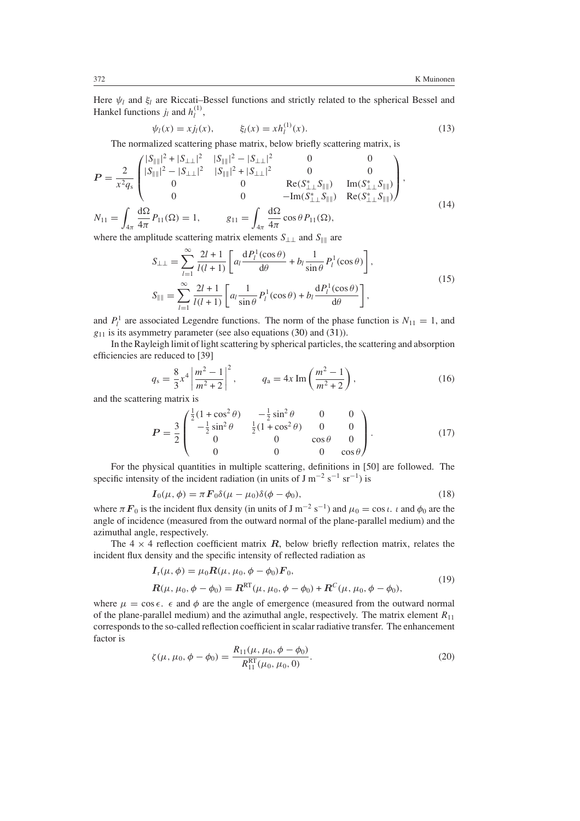Here  $\psi_l$  and  $\xi_l$  are Riccati–Bessel functions and strictly related to the spherical Bessel and Hankel functions  $j_l$  and  $h_l^{(1)}$ ,

$$
\psi_l(x) = x j_l(x), \qquad \xi_l(x) = x h_l^{(1)}(x). \tag{13}
$$

The normalized scattering phase matrix, below briefly scattering matrix, is

<span id="page-7-0"></span>
$$
P = \frac{2}{x^2 q_s} \begin{pmatrix} |S_{\parallel \parallel}|^2 + |S_{\perp \perp}|^2 & |S_{\parallel \parallel}|^2 - |S_{\perp \perp}|^2 & 0 & 0 \\ |S_{\parallel \parallel}|^2 - |S_{\perp \perp}|^2 & |S_{\parallel \parallel}|^2 + |S_{\perp \perp}|^2 & 0 & 0 \\ 0 & 0 & \text{Re}(S_{\perp \perp}^* S_{\parallel \parallel}) & \text{Im}(S_{\perp \perp}^* S_{\parallel \parallel}) \\ 0 & 0 & -\text{Im}(S_{\perp \perp}^* S_{\parallel \parallel}) & \text{Re}(S_{\perp \perp}^* S_{\parallel \parallel}) \end{pmatrix},
$$
  
\n
$$
N_{11} = \int_{4\pi} \frac{d\Omega}{4\pi} P_{11}(\Omega) = 1, \qquad g_{11} = \int_{4\pi} \frac{d\Omega}{4\pi} \cos \theta P_{11}(\Omega),
$$
\n(14)

where the amplitude scattering matrix elements  $S_{\perp\perp}$  and  $S_{\parallel\parallel}$  are

$$
S_{\perp\perp} = \sum_{l=1}^{\infty} \frac{2l+1}{l(l+1)} \left[ a_l \frac{dP_l^1(\cos\theta)}{d\theta} + b_l \frac{1}{\sin\theta} P_l^1(\cos\theta) \right],
$$
  
\n
$$
S_{\parallel\parallel} = \sum_{l=1}^{\infty} \frac{2l+1}{l(l+1)} \left[ a_l \frac{1}{\sin\theta} P_l^1(\cos\theta) + b_l \frac{dP_l^1(\cos\theta)}{d\theta} \right],
$$
\n(15)

and  $P_l^1$  are associated Legendre functions. The norm of the phase function is  $N_{11} = 1$ , and  $g_{11}$  is its asymmetry parameter (see also equations [\(30\)](#page-9-0) and [\(31\)](#page-9-1)).

In the Rayleigh limit of light scattering by spherical particles, the scattering and absorption efficiencies are reduced to [39]

$$
q_{s} = \frac{8}{3}x^{4} \left| \frac{m^{2} - 1}{m^{2} + 2} \right|^{2}, \qquad q_{a} = 4x \operatorname{Im} \left( \frac{m^{2} - 1}{m^{2} + 2} \right), \tag{16}
$$

<span id="page-7-1"></span>and the scattering matrix is

$$
P = \frac{3}{2} \begin{pmatrix} \frac{1}{2} (1 + \cos^2 \theta) & -\frac{1}{2} \sin^2 \theta & 0 & 0\\ -\frac{1}{2} \sin^2 \theta & \frac{1}{2} (1 + \cos^2 \theta) & 0 & 0\\ 0 & 0 & \cos \theta & 0\\ 0 & 0 & 0 & \cos \theta \end{pmatrix}.
$$
 (17)

For the physical quantities in multiple scattering, definitions in [50] are followed. The specific intensity of the incident radiation (in units of  $J m^{-2} s^{-1} s r^{-1}$ ) is

$$
I_0(\mu,\phi) = \pi F_0 \delta(\mu - \mu_0) \delta(\phi - \phi_0),\tag{18}
$$

where  $\pi F_0$  is the incident flux density (in units of J m<sup>-2</sup> s<sup>-1</sup>) and  $\mu_0 = \cos \iota$ . *ι* and  $\phi_0$  are the angle of incidence (measured from the outward normal of the plane-parallel medium) and the azimuthal angle, respectively.

The  $4 \times 4$  reflection coefficient matrix  $\vec{R}$ , below briefly reflection matrix, relates the incident flux density and the specific intensity of reflected radiation as

$$
I_{r}(\mu, \phi) = \mu_{0} R(\mu, \mu_{0}, \phi - \phi_{0}) F_{0},
$$
  
\n
$$
R(\mu, \mu_{0}, \phi - \phi_{0}) = R^{RT}(\mu, \mu_{0}, \phi - \phi_{0}) + R^{C}(\mu, \mu_{0}, \phi - \phi_{0}),
$$
\n(19)

where  $\mu = \cos \epsilon$ .  $\epsilon$  and  $\phi$  are the angle of emergence (measured from the outward normal of the plane-parallel medium) and the azimuthal angle, respectively. The matrix element *R*<sup>11</sup> corresponds to the so-called reflection coefficient in scalar radiative transfer. The enhancement factor is

$$
\zeta(\mu, \mu_0, \phi - \phi_0) = \frac{R_{11}(\mu, \mu_0, \phi - \phi_0)}{R_{11}^{\text{RT}}(\mu_0, \mu_0, 0)}.
$$
\n(20)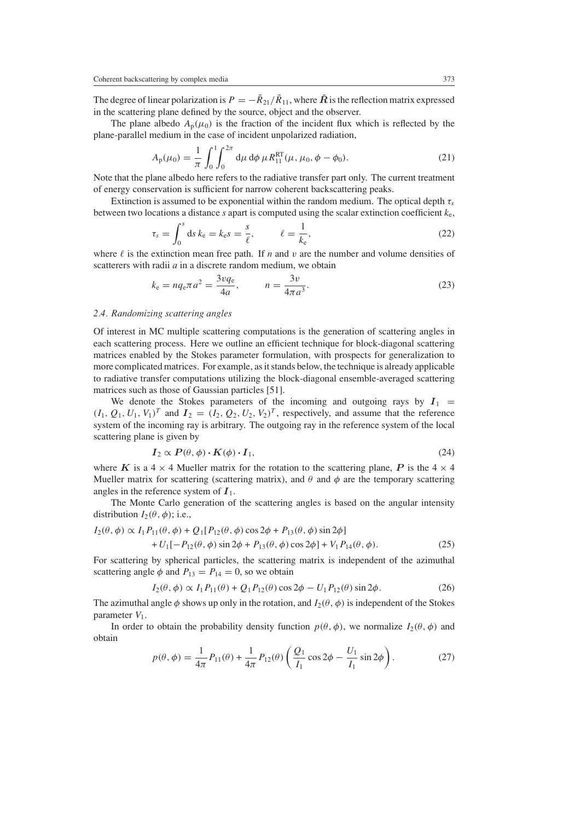The degree of linear polarization is  $P = -\tilde{R}_{21}/\tilde{R}_{11}$ , where  $\tilde{R}$  is the reflection matrix expressed in the scattering plane defined by the source, object and the observer.

The plane albedo  $A_p(\mu_0)$  is the fraction of the incident flux which is reflected by the plane-parallel medium in the case of incident unpolarized radiation,

$$
A_{\rm p}(\mu_0) = \frac{1}{\pi} \int_0^1 \int_0^{2\pi} \mathrm{d}\mu \, \mathrm{d}\phi \, \mu R_{11}^{\rm RT}(\mu, \mu_0, \phi - \phi_0). \tag{21}
$$

Note that the plane albedo here refers to the radiative transfer part only. The current treatment of energy conservation is sufficient for narrow coherent backscattering peaks.

Extinction is assumed to be exponential within the random medium. The optical depth  $\tau_s$ between two locations a distance *s* apart is computed using the scalar extinction coefficient *k*e,

$$
\tau_s = \int_0^s \mathrm{d}s \, k_\mathrm{e} = k_\mathrm{e}s = \frac{s}{\ell}, \qquad \ell = \frac{1}{k_\mathrm{e}}, \tag{22}
$$

where  $\ell$  is the extinction mean free path. If *n* and *v* are the number and volume densities of scatterers with radii *a* in a discrete random medium, we obtain

$$
k_{e} = nq_{e}\pi a^{2} = \frac{3vq_{e}}{4a}, \qquad n = \frac{3v}{4\pi a^{3}}.
$$
 (23)

## *2.4. Randomizing scattering angles*

Of interest in MC multiple scattering computations is the generation of scattering angles in each scattering process. Here we outline an efficient technique for block-diagonal scattering matrices enabled by the Stokes parameter formulation, with prospects for generalization to more complicated matrices. For example, as it stands below, the technique is already applicable to radiative transfer computations utilizing the block-diagonal ensemble-averaged scattering matrices such as those of Gaussian particles [51].

We denote the Stokes parameters of the incoming and outgoing rays by  $I_1$  =  $(I_1, Q_1, U_1, V_1)^T$  and  $I_2 = (I_2, Q_2, U_2, V_2)^T$ , respectively, and assume that the reference system of the incoming ray is arbitrary. The outgoing ray in the reference system of the local scattering plane is given by

$$
I_2 \propto P(\theta, \phi) \cdot K(\phi) \cdot I_1,\tag{24}
$$

where *K* is a  $4 \times 4$  Mueller matrix for the rotation to the scattering plane, *P* is the  $4 \times 4$ Mueller matrix for scattering (scattering matrix), and  $\theta$  and  $\phi$  are the temporary scattering angles in the reference system of  $I_1$ .

The Monte Carlo generation of the scattering angles is based on the angular intensity distribution  $I_2(\theta, \phi)$ ; i.e.,

$$
I_2(\theta, \phi) \propto I_1 P_{11}(\theta, \phi) + Q_1 [P_{12}(\theta, \phi) \cos 2\phi + P_{13}(\theta, \phi) \sin 2\phi] + U_1 [-P_{12}(\theta, \phi) \sin 2\phi + P_{13}(\theta, \phi) \cos 2\phi] + V_1 P_{14}(\theta, \phi).
$$
 (25)

For scattering by spherical particles, the scattering matrix is independent of the azimuthal scattering angle  $\phi$  and  $P_{13} = P_{14} = 0$ , so we obtain

$$
I_2(\theta, \phi) \propto I_1 P_{11}(\theta) + Q_1 P_{12}(\theta) \cos 2\phi - U_1 P_{12}(\theta) \sin 2\phi.
$$
 (26)

The azimuthal angle  $\phi$  shows up only in the rotation, and  $I_2(\theta, \phi)$  is independent of the Stokes parameter *V*1.

In order to obtain the probability density function  $p(\theta, \phi)$ , we normalize  $I_2(\theta, \phi)$  and obtain

$$
p(\theta, \phi) = \frac{1}{4\pi} P_{11}(\theta) + \frac{1}{4\pi} P_{12}(\theta) \left( \frac{Q_1}{I_1} \cos 2\phi - \frac{U_1}{I_1} \sin 2\phi \right).
$$
 (27)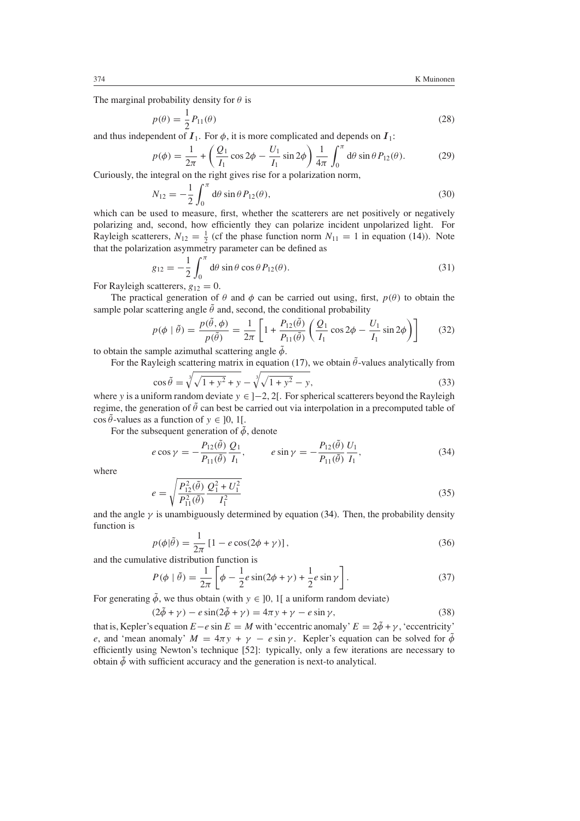The marginal probability density for *θ* is

$$
p(\theta) = \frac{1}{2}P_{11}(\theta)
$$
\n<sup>(28)</sup>

and thus independent of  $I_1$ . For  $\phi$ , it is more complicated and depends on  $I_1$ :

$$
p(\phi) = \frac{1}{2\pi} + \left(\frac{Q_1}{I_1}\cos 2\phi - \frac{U_1}{I_1}\sin 2\phi\right)\frac{1}{4\pi}\int_0^{\pi} d\theta \sin \theta P_{12}(\theta).
$$
 (29)

<span id="page-9-0"></span>Curiously, the integral on the right gives rise for a polarization norm,

$$
N_{12} = -\frac{1}{2} \int_0^{\pi} d\theta \sin \theta P_{12}(\theta),
$$
\n(30)

which can be used to measure, first, whether the scatterers are net positively or negatively polarizing and, second, how efficiently they can polarize incident unpolarized light. For Rayleigh scatterers,  $N_{12} = \frac{1}{2}$  (cf the phase function norm  $N_{11} = 1$  in equation [\(14\)](#page-7-0)). Note that the polarization asymmetry parameter can be defined as

$$
g_{12} = -\frac{1}{2} \int_0^{\pi} d\theta \sin \theta \cos \theta P_{12}(\theta). \tag{31}
$$

<span id="page-9-1"></span>For Rayleigh scatterers,  $g_{12} = 0$ .

The practical generation of  $\theta$  and  $\phi$  can be carried out using, first,  $p(\theta)$  to obtain the sample polar scattering angle  $\tilde{\theta}$  and, second, the conditional probability

$$
p(\phi \mid \tilde{\theta}) = \frac{p(\tilde{\theta}, \phi)}{p(\tilde{\theta})} = \frac{1}{2\pi} \left[ 1 + \frac{P_{12}(\tilde{\theta})}{P_{11}(\tilde{\theta})} \left( \frac{Q_1}{I_1} \cos 2\phi - \frac{U_1}{I_1} \sin 2\phi \right) \right]
$$
(32)

to obtain the sample azimuthal scattering angle  $\tilde{\phi}$ .

For the Rayleigh scattering matrix in equation [\(17\)](#page-7-1), we obtain  $\tilde{\theta}$ -values analytically from

$$
\cos \tilde{\theta} = \sqrt[3]{\sqrt{1 + y^2} + y} - \sqrt[3]{\sqrt{1 + y^2} - y},
$$
\n(33)

where *y* is a uniform random deviate *y* ∈ ]−2, 2[. For spherical scatterers beyond the Rayleigh regime, the generation of  $\hat{\theta}$  can best be carried out via interpolation in a precomputed table of  $\cos \tilde{\theta}$ -values as a function of  $y \in ]0, 1[$ .

<span id="page-9-2"></span>For the subsequent generation of  $\tilde{\phi}$ , denote

$$
e \cos \gamma = -\frac{P_{12}(\tilde{\theta})}{P_{11}(\tilde{\theta})} \frac{Q_1}{I_1}, \qquad e \sin \gamma = -\frac{P_{12}(\tilde{\theta})}{P_{11}(\tilde{\theta})} \frac{U_1}{I_1}, \qquad (34)
$$

where

$$
e = \sqrt{\frac{P_{12}^2(\tilde{\theta})}{P_{11}^2(\tilde{\theta})} \frac{Q_1^2 + U_1^2}{I_1^2}}
$$
(35)

and the angle  $\gamma$  is unambiguously determined by equation [\(34\)](#page-9-2). Then, the probability density function is

$$
p(\phi|\tilde{\theta}) = \frac{1}{2\pi} \left[1 - e\cos(2\phi + \gamma)\right],\tag{36}
$$

and the cumulative distribution function is

$$
P(\phi \mid \tilde{\theta}) = \frac{1}{2\pi} \left[ \phi - \frac{1}{2} e \sin(2\phi + \gamma) + \frac{1}{2} e \sin \gamma \right].
$$
 (37)

For generating  $\tilde{\phi}$ , we thus obtain (with  $y \in [0, 1]$  a uniform random deviate)

 $(2\tilde{\phi} + \gamma) - e \sin(2\tilde{\phi} + \gamma) = 4\pi \gamma + \gamma - e \sin \gamma,$  (38)

that is, Kepler's equation  $E - e \sin E = M$  with 'eccentric anomaly'  $E = 2\tilde{\phi} + \gamma$ , 'eccentricity' *e*, and 'mean anomaly'  $M = 4\pi y + \gamma - e \sin \gamma$ . Kepler's equation can be solved for  $\tilde{\phi}$ efficiently using Newton's technique [52]: typically, only a few iterations are necessary to obtain  $\tilde{\phi}$  with sufficient accuracy and the generation is next-to analytical.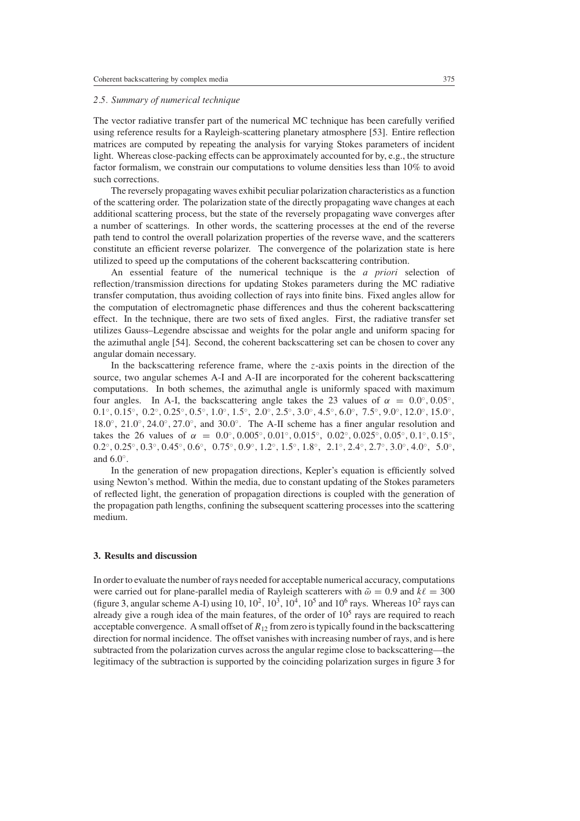#### *2.5. Summary of numerical technique*

The vector radiative transfer part of the numerical MC technique has been carefully verified using reference results for a Rayleigh-scattering planetary atmosphere [53]. Entire reflection matrices are computed by repeating the analysis for varying Stokes parameters of incident light. Whereas close-packing effects can be approximately accounted for by, e.g., the structure factor formalism, we constrain our computations to volume densities less than 10% to avoid such corrections.

The reversely propagating waves exhibit peculiar polarization characteristics as a function of the scattering order. The polarization state of the directly propagating wave changes at each additional scattering process, but the state of the reversely propagating wave converges after a number of scatterings. In other words, the scattering processes at the end of the reverse path tend to control the overall polarization properties of the reverse wave, and the scatterers constitute an efficient reverse polarizer. The convergence of the polarization state is here utilized to speed up the computations of the coherent backscattering contribution.

An essential feature of the numerical technique is the *a priori* selection of reflection*/*transmission directions for updating Stokes parameters during the MC radiative transfer computation, thus avoiding collection of rays into finite bins. Fixed angles allow for the computation of electromagnetic phase differences and thus the coherent backscattering effect. In the technique, there are two sets of fixed angles. First, the radiative transfer set utilizes Gauss–Legendre abscissae and weights for the polar angle and uniform spacing for the azimuthal angle [54]. Second, the coherent backscattering set can be chosen to cover any angular domain necessary.

In the backscattering reference frame, where the *z*-axis points in the direction of the source, two angular schemes A-I and A-II are incorporated for the coherent backscattering computations. In both schemes, the azimuthal angle is uniformly spaced with maximum four angles. In A-I, the backscattering angle takes the 23 values of  $\alpha = 0.0^{\circ}, 0.05^{\circ}$ ,  $0.1^{\circ}, 0.15^{\circ}, 0.2^{\circ}, 0.25^{\circ}, 0.5^{\circ}, 1.0^{\circ}, 1.5^{\circ}, 2.0^{\circ}, 2.5^{\circ}, 3.0^{\circ}, 4.5^{\circ}, 6.0^{\circ}, 7.5^{\circ}, 9.0^{\circ}, 12.0^{\circ}, 15.0^{\circ},$ 18*.*0◦, 21*.*0◦*,* 24*.*0◦*,* 27*.*0◦, and 30*.*0◦. The A-II scheme has a finer angular resolution and takes the 26 values of  $\alpha = 0.0^\circ, 0.005^\circ, 0.01^\circ, 0.015^\circ, 0.02^\circ, 0.025^\circ, 0.05^\circ, 0.1^\circ, 0.15^\circ$  $0.2^{\circ}, 0.25^{\circ}, 0.3^{\circ}, 0.45^{\circ}, 0.6^{\circ}, 0.75^{\circ}, 0.9^{\circ}, 1.2^{\circ}, 1.5^{\circ}, 1.8^{\circ}, 2.1^{\circ}, 2.4^{\circ}, 2.7^{\circ}, 3.0^{\circ}, 4.0^{\circ}, 5.0^{\circ},$ and 6*.*0◦.

In the generation of new propagation directions, Kepler's equation is efficiently solved using Newton's method. Within the media, due to constant updating of the Stokes parameters of reflected light, the generation of propagation directions is coupled with the generation of the propagation path lengths, confining the subsequent scattering processes into the scattering medium.

#### **3. Results and discussion**

In order to evaluate the number of rays needed for acceptable numerical accuracy, computations were carried out for plane-parallel media of Rayleigh scatterers with  $\tilde{\omega} = 0.9$  and  $k\ell = 300$ (figure [3,](#page-11-0) angular scheme A-I) using  $10$ ,  $10^2$ ,  $10^3$ ,  $10^4$ ,  $10^5$  and  $10^6$  rays. Whereas  $10^2$  rays can already give a rough idea of the main features, of the order of  $10<sup>5</sup>$  rays are required to reach acceptable convergence. A small offset of  $R_{12}$  from zero is typically found in the backscattering direction for normal incidence. The offset vanishes with increasing number of rays, and is here subtracted from the polarization curves across the angular regime close to backscattering—the legitimacy of the subtraction is supported by the coinciding polarization surges in figure [3](#page-11-0) for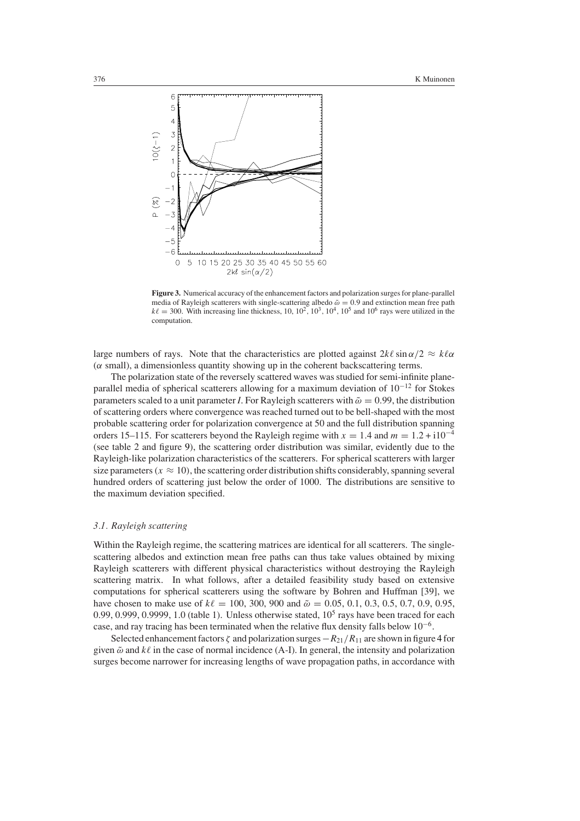

<span id="page-11-0"></span>**Figure 3.** Numerical accuracy of the enhancement factors and polarization surges for plane-parallel media of Rayleigh scatterers with single-scattering albedo  $\tilde{\omega} = 0.9$  and extinction mean free path  $k\ell = 300$ . With increasing line thickness, 10, 10<sup>2</sup>, 10<sup>3</sup>, 10<sup>4</sup>, 10<sup>5</sup> and 10<sup>6</sup> rays were utilized in the computation.

large numbers of rays. Note that the characteristics are plotted against  $2k\ell \sin \alpha/2 \approx k\ell\alpha$ (*α* small), a dimensionless quantity showing up in the coherent backscattering terms.

The polarization state of the reversely scattered waves was studied for semi-infinite planeparallel media of spherical scatterers allowing for a maximum deviation of  $10^{-12}$  for Stokes parameters scaled to a unit parameter *I*. For Rayleigh scatterers with  $\tilde{\omega} = 0.99$ , the distribution of scattering orders where convergence was reached turned out to be bell-shaped with the most probable scattering order for polarization convergence at 50 and the full distribution spanning orders 15–115. For scatterers beyond the Rayleigh regime with  $x = 1.4$  and  $m = 1.2 + 110^{-4}$ (see table 2 and figure [9\)](#page-18-0), the scattering order distribution was similar, evidently due to the Rayleigh-like polarization characteristics of the scatterers. For spherical scatterers with larger size parameters  $(x \approx 10)$ , the scattering order distribution shifts considerably, spanning several hundred orders of scattering just below the order of 1000. The distributions are sensitive to the maximum deviation specified.

#### *3.1. Rayleigh scattering*

Within the Rayleigh regime, the scattering matrices are identical for all scatterers. The singlescattering albedos and extinction mean free paths can thus take values obtained by mixing Rayleigh scatterers with different physical characteristics without destroying the Rayleigh scattering matrix. In what follows, after a detailed feasibility study based on extensive computations for spherical scatterers using the software by Bohren and Huffman [39], we have chosen to make use of  $k\ell = 100, 300, 900$  and  $\tilde{\omega} = 0.05, 0.1, 0.3, 0.5, 0.7, 0.9, 0.95$ , 0.99, 0.999, 0.9999, 1.0 (table 1). Unless otherwise stated,  $10<sup>5</sup>$  rays have been traced for each case, and ray tracing has been terminated when the relative flux density falls below 10−6.

Selected enhancement factors *ζ* and polarization surges−*R*21*/R*<sup>11</sup> are shown in figure [4](#page-12-0) for given  $\tilde{\omega}$  and  $k\ell$  in the case of normal incidence (A-I). In general, the intensity and polarization surges become narrower for increasing lengths of wave propagation paths, in accordance with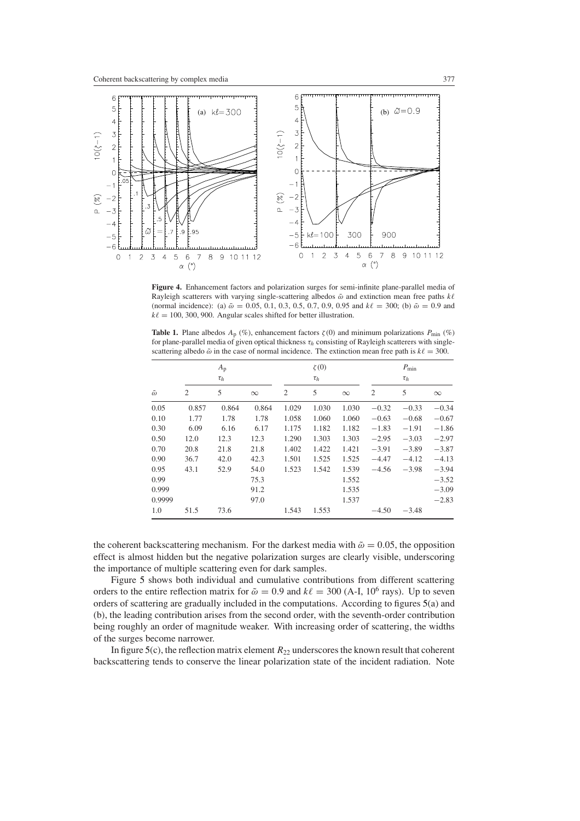

<span id="page-12-0"></span>**Figure 4.** Enhancement factors and polarization surges for semi-infinite plane-parallel media of Rayleigh scatterers with varying single-scattering albedos  $\tilde{\omega}$  and extinction mean free paths *k*l (normal incidence): (a)  $\tilde{\omega} = 0.05, 0.1, 0.3, 0.5, 0.7, 0.9, 0.95$  and  $k\ell = 300$ ; (b)  $\tilde{\omega} = 0.9$  and  $k\ell = 100, 300, 900$ . Angular scales shifted for better illustration.

**Table 1.** Plane albedos  $A_p$  (%), enhancement factors  $\zeta(0)$  and minimum polarizations  $P_{\text{min}}$  (%) for plane-parallel media of given optical thickness *τh* consisting of Rayleigh scatterers with singlescattering albedo  $\tilde{\omega}$  in the case of normal incidence. The extinction mean free path is  $k\ell = 300$ .

|                  | $A_{\rm p}$<br>$\tau_h$ |       |          |                | $\zeta(0)$<br>$\tau_h$ |          | $P_{\min}$<br>$\tau_h$ |         |          |
|------------------|-------------------------|-------|----------|----------------|------------------------|----------|------------------------|---------|----------|
| $\tilde{\omega}$ | $\overline{2}$          | 5     | $\infty$ | $\overline{2}$ | 5                      | $\infty$ | 2                      | 5       | $\infty$ |
| 0.05             | 0.857                   | 0.864 | 0.864    | 1.029          | 1.030                  | 1.030    | $-0.32$                | $-0.33$ | $-0.34$  |
| 0.10             | 1.77                    | 1.78  | 1.78     | 1.058          | 1.060                  | 1.060    | $-0.63$                | $-0.68$ | $-0.67$  |
| 0.30             | 6.09                    | 6.16  | 6.17     | 1.175          | 1.182                  | 1.182    | $-1.83$                | $-1.91$ | $-1.86$  |
| 0.50             | 12.0                    | 12.3  | 12.3     | 1.290          | 1.303                  | 1.303    | $-2.95$                | $-3.03$ | $-2.97$  |
| 0.70             | 20.8                    | 21.8  | 21.8     | 1.402          | 1.422                  | 1.421    | $-3.91$                | $-3.89$ | $-3.87$  |
| 0.90             | 36.7                    | 42.0  | 42.3     | 1.501          | 1.525                  | 1.525    | $-4.47$                | $-4.12$ | $-4.13$  |
| 0.95             | 43.1                    | 52.9  | 54.0     | 1.523          | 1.542                  | 1.539    | $-4.56$                | $-3.98$ | $-3.94$  |
| 0.99             |                         |       | 75.3     |                |                        | 1.552    |                        |         | $-3.52$  |
| 0.999            |                         |       | 91.2     |                |                        | 1.535    |                        |         | $-3.09$  |
| 0.9999           |                         |       | 97.0     |                |                        | 1.537    |                        |         | $-2.83$  |
| 1.0              | 51.5                    | 73.6  |          | 1.543          | 1.553                  |          | $-4.50$                | $-3.48$ |          |

the coherent backscattering mechanism. For the darkest media with  $\tilde{\omega} = 0.05$ , the opposition effect is almost hidden but the negative polarization surges are clearly visible, underscoring the importance of multiple scattering even for dark samples.

Figure [5](#page-14-0) shows both individual and cumulative contributions from different scattering orders to the entire reflection matrix for  $\tilde{\omega} = 0.9$  and  $k\ell = 300$  (A-I, 10<sup>6</sup> rays). Up to seven orders of scattering are gradually included in the computations. According to figures [5\(](#page-14-0)a) and (b), the leading contribution arises from the second order, with the seventh-order contribution being roughly an order of magnitude weaker. With increasing order of scattering, the widths of the surges become narrower.

In figure [5\(](#page-14-0)c), the reflection matrix element  $R_{22}$  underscores the known result that coherent backscattering tends to conserve the linear polarization state of the incident radiation. Note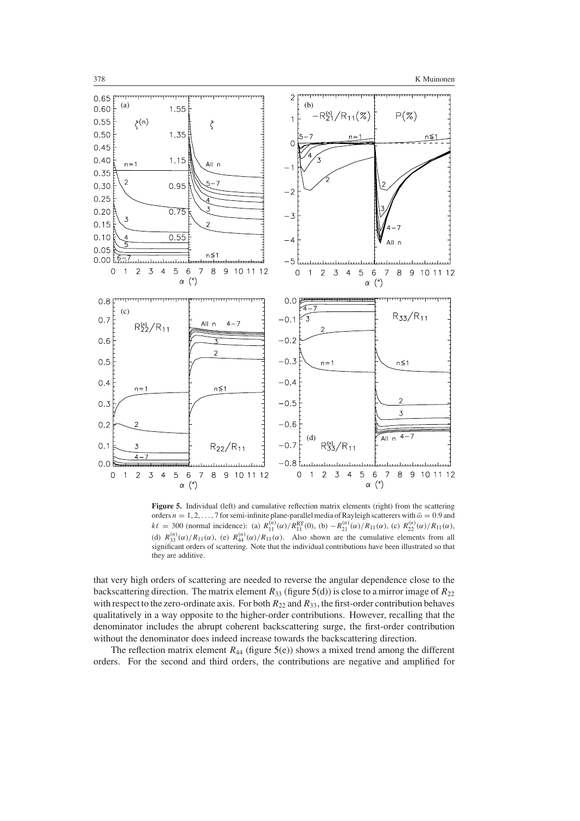

Figure 5. Individual (left) and cumulative reflection matrix elements (right) from the scattering orders  $n = 1, 2, ..., 7$  for semi-infinite plane-parallel media of Rayleigh scatterers with  $\tilde{\omega} = 0.9$  and  $k\ell = 300$  (normal incidence): (a)  $R_{11}^{(n)}(\alpha)/R_{11}^{RT}(0)$ , (b)  $-R_{21}^{(n)}(\alpha)/R_{11}(\alpha)$ , (c)  $R_{22}^{(n)}(\alpha)/R_{11}(\alpha)$ , (d)  $R_{33}^{(n)}(\alpha)/R_{11}(\alpha)$ , (e)  $R_{44}^{(n)}(\alpha)/R_{11}(\alpha)$ . Also shown are the cumulative elements from all significant orders of scattering. Note that the individual contributions have been illustrated so that they are additive.

that very high orders of scattering are needed to reverse the angular dependence close to the backscattering direction. The matrix element  $R_{33}$  (figure [5\(](#page-14-0)d)) is close to a mirror image of  $R_{22}$ with respect to the zero-ordinate axis. For both  $R_{22}$  and  $R_{33}$ , the first-order contribution behaves qualitatively in a way opposite to the higher-order contributions. However, recalling that the denominator includes the abrupt coherent backscattering surge, the first-order contribution without the denominator does indeed increase towards the backscattering direction.

The reflection matrix element  $R_{44}$  (figure [5\(](#page-14-0)e)) shows a mixed trend among the different orders. For the second and third orders, the contributions are negative and amplified for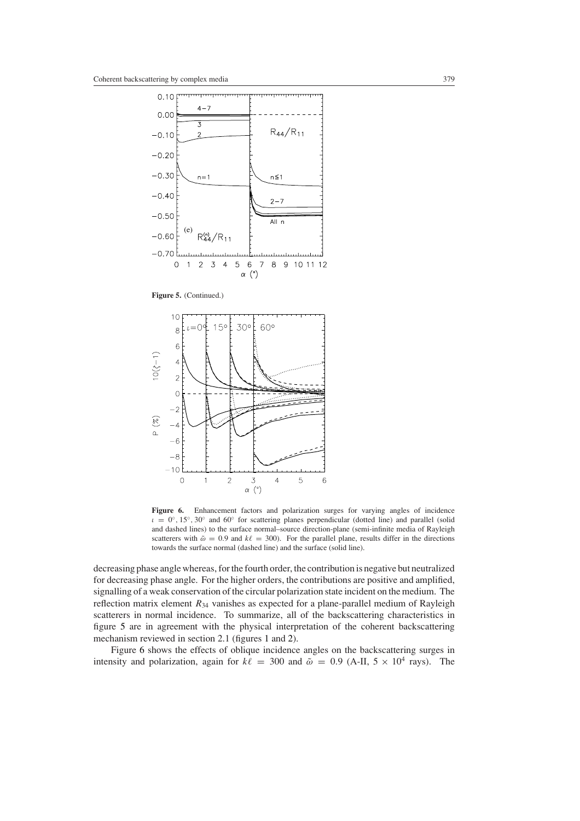

Figure 5. (Continued.)

<span id="page-14-0"></span>

<span id="page-14-1"></span>**Figure 6.** Enhancement factors and polarization surges for varying angles of incidence *ι* = 0◦*,* 15◦*,* 30◦ and 60◦ for scattering planes perpendicular (dotted line) and parallel (solid and dashed lines) to the surface normal–source direction-plane (semi-infinite media of Rayleigh scatterers with  $\tilde{\omega} = 0.9$  and  $k\ell = 300$ ). For the parallel plane, results differ in the directions towards the surface normal (dashed line) and the surface (solid line).

decreasing phase angle whereas, for the fourth order, the contribution is negative but neutralized for decreasing phase angle. For the higher orders, the contributions are positive and amplified, signalling of a weak conservation of the circular polarization state incident on the medium. The reflection matrix element  $R_{34}$  vanishes as expected for a plane-parallel medium of Rayleigh scatterers in normal incidence. To summarize, all of the backscattering characteristics in figure [5](#page-14-0) are in agreement with the physical interpretation of the coherent backscattering mechanism reviewed in section 2.1 (figures [1](#page-2-0) and [2\)](#page-3-0).

Figure [6](#page-14-1) shows the effects of oblique incidence angles on the backscattering surges in intensity and polarization, again for  $k\ell = 300$  and  $\tilde{\omega} = 0.9$  (A-II,  $5 \times 10^4$  rays). The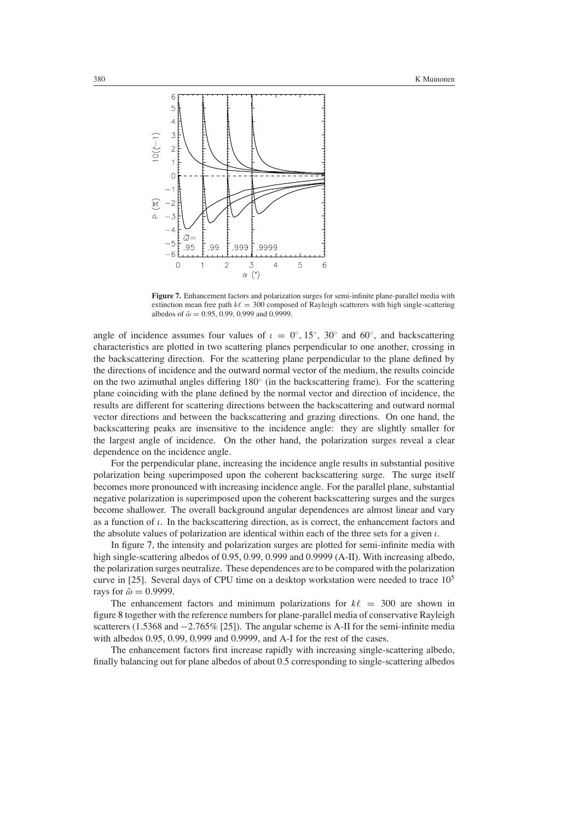

**Figure 7.** Enhancement factors and polarization surges for semi-infinite plane-parallel media with extinction mean free path  $k\ell = 300$  composed of Rayleigh scatterers with high single-scattering albedos of  $\tilde{\omega} = 0.95, 0.99, 0.999$  and 0.9999.

<span id="page-15-0"></span>angle of incidence assumes four values of  $\iota = 0^\circ, 15^\circ, 30^\circ$  and 60°, and backscattering characteristics are plotted in two scattering planes perpendicular to one another, crossing in the backscattering direction. For the scattering plane perpendicular to the plane defined by the directions of incidence and the outward normal vector of the medium, the results coincide on the two azimuthal angles differing 180◦ (in the backscattering frame). For the scattering plane coinciding with the plane defined by the normal vector and direction of incidence, the results are different for scattering directions between the backscattering and outward normal vector directions and between the backscattering and grazing directions. On one hand, the backscattering peaks are insensitive to the incidence angle: they are slightly smaller for the largest angle of incidence. On the other hand, the polarization surges reveal a clear dependence on the incidence angle.

For the perpendicular plane, increasing the incidence angle results in substantial positive polarization being superimposed upon the coherent backscattering surge. The surge itself becomes more pronounced with increasing incidence angle. For the parallel plane, substantial negative polarization is superimposed upon the coherent backscattering surges and the surges become shallower. The overall background angular dependences are almost linear and vary as a function of *ι*. In the backscattering direction, as is correct, the enhancement factors and the absolute values of polarization are identical within each of the three sets for a given *ι*.

In figure [7,](#page-15-0) the intensity and polarization surges are plotted for semi-infinite media with high single-scattering albedos of 0.95, 0.99, 0.999 and 0.9999 (A-II). With increasing albedo, the polarization surges neutralize. These dependences are to be compared with the polarization curve in [25]. Several days of CPU time on a desktop workstation were needed to trace  $10<sup>5</sup>$ rays for  $\tilde{\omega} = 0.9999$ .

The enhancement factors and minimum polarizations for  $k\ell = 300$  are shown in figure [8](#page-16-0) together with the reference numbers for plane-parallel media of conservative Rayleigh scatterers (1.5368 and −2.765% [25]). The angular scheme is A-II for the semi-infinite media with albedos 0.95, 0.99, 0.999 and 0.9999, and A-I for the rest of the cases.

The enhancement factors first increase rapidly with increasing single-scattering albedo, finally balancing out for plane albedos of about 0.5 corresponding to single-scattering albedos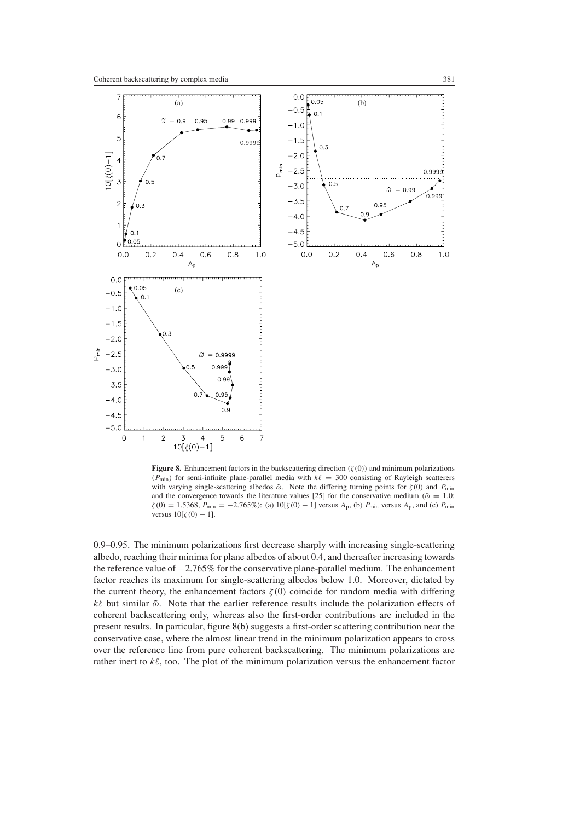

<span id="page-16-0"></span>**Figure 8.** Enhancement factors in the backscattering direction  $(\zeta(0))$  and minimum polarizations  $(P_{\text{min}})$  for semi-infinite plane-parallel media with  $k\ell = 300$  consisting of Rayleigh scatterers with varying single-scattering albedos  $\tilde{\omega}$ . Note the differing turning points for  $\zeta(0)$  and  $P_{\text{min}}$ and the convergence towards the literature values [25] for the conservative medium ( $\tilde{\omega} = 1.0$ :  $\zeta(0) = 1.5368$ ,  $P_{\text{min}} = -2.765\%$ : (a)  $10[\zeta(0) - 1]$  versus  $A_p$ , (b)  $P_{\text{min}}$  versus  $A_p$ , and (c)  $P_{\text{min}}$ versus  $10[\zeta(0) - 1]$ .

0.9–0.95. The minimum polarizations first decrease sharply with increasing single-scattering albedo, reaching their minima for plane albedos of about 0.4, and thereafter increasing towards the reference value of −2.765% for the conservative plane-parallel medium. The enhancement factor reaches its maximum for single-scattering albedos below 1.0. Moreover, dictated by the current theory, the enhancement factors  $\zeta(0)$  coincide for random media with differing *k* but similar ˜*ω*. Note that the earlier reference results include the polarization effects of coherent backscattering only, whereas also the first-order contributions are included in the present results. In particular, figure [8\(](#page-16-0)b) suggests a first-order scattering contribution near the conservative case, where the almost linear trend in the minimum polarization appears to cross over the reference line from pure coherent backscattering. The minimum polarizations are rather inert to  $k\ell$ , too. The plot of the minimum polarization versus the enhancement factor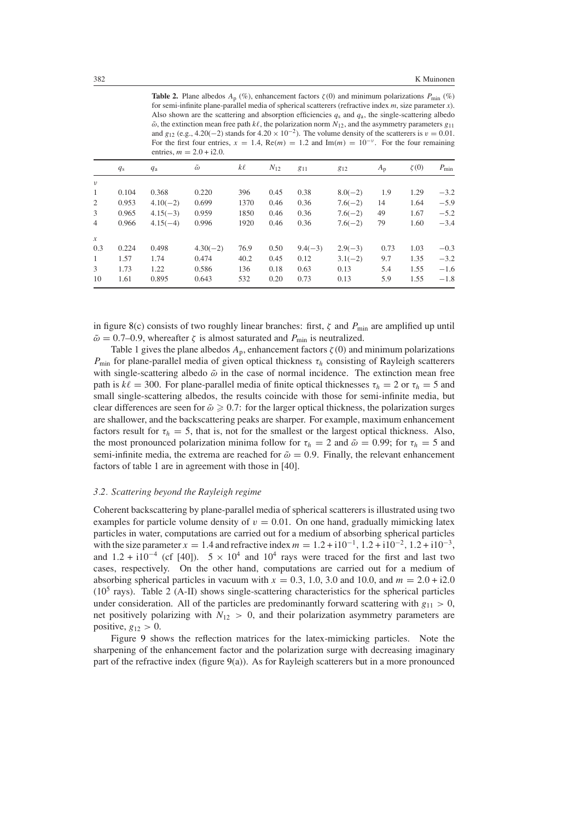**Table 2.** Plane albedos  $A_p$  (%), enhancement factors  $\zeta(0)$  and minimum polarizations  $P_{\text{min}}$  (%) for semi-infinite plane-parallel media of spherical scatterers (refractive index *m*, size parameter *x*). Also shown are the scattering and absorption efficiencies  $q_s$  and  $q_a$ , the single-scattering albedo  $\tilde{\omega}$ , the extinction mean free path  $k\ell$ , the polarization norm  $N_{12}$ , and the asymmetry parameters  $g_{11}$ and *g*<sub>12</sub> (e.g., 4.20(−2) stands for 4.20 × 10<sup>-2</sup>). The volume density of the scatterers is  $v = 0.01$ . For the first four entries,  $x = 1.4$ , Re $(m) = 1.2$  and Im $(m) = 10^{-\nu}$ . For the four remaining entries,  $m = 2.0 + 12.0$ 

| $\text{Critiv}_3, m = 2.0 + 12.0$ . |             |             |                  |         |          |           |           |             |            |            |
|-------------------------------------|-------------|-------------|------------------|---------|----------|-----------|-----------|-------------|------------|------------|
|                                     | $q_{\rm s}$ | $q_{\rm a}$ | $\tilde{\omega}$ | $k\ell$ | $N_{12}$ | $g_{11}$  | 812       | $A_{\rm p}$ | $\zeta(0)$ | $P_{\min}$ |
| $\nu$                               |             |             |                  |         |          |           |           |             |            |            |
| $\mathbf{1}$                        | 0.104       | 0.368       | 0.220            | 396     | 0.45     | 0.38      | $8.0(-2)$ | 1.9         | 1.29       | $-3.2$     |
| 2                                   | 0.953       | $4.10(-2)$  | 0.699            | 1370    | 0.46     | 0.36      | $7.6(-2)$ | 14          | 1.64       | $-5.9$     |
| 3                                   | 0.965       | $4.15(-3)$  | 0.959            | 1850    | 0.46     | 0.36      | $7.6(-2)$ | 49          | 1.67       | $-5.2$     |
| $\overline{4}$                      | 0.966       | $4.15(-4)$  | 0.996            | 1920    | 0.46     | 0.36      | $7.6(-2)$ | 79          | 1.60       | $-3.4$     |
| $\mathcal{X}$                       |             |             |                  |         |          |           |           |             |            |            |
| 0.3                                 | 0.224       | 0.498       | $4.30(-2)$       | 76.9    | 0.50     | $9.4(-3)$ | $2.9(-3)$ | 0.73        | 1.03       | $-0.3$     |
| $\mathbf{1}$                        | 1.57        | 1.74        | 0.474            | 40.2    | 0.45     | 0.12      | $3.1(-2)$ | 9.7         | 1.35       | $-3.2$     |
| 3                                   | 1.73        | 1.22        | 0.586            | 136     | 0.18     | 0.63      | 0.13      | 5.4         | 1.55       | $-1.6$     |
| 10                                  | 1.61        | 0.895       | 0.643            | 532     | 0.20     | 0.73      | 0.13      | 5.9         | 1.55       | $-1.8$     |

in figure [8\(](#page-16-0)c) consists of two roughly linear branches: first,  $\zeta$  and  $P_{\text{min}}$  are amplified up until  $\tilde{\omega} = 0.7{\text{-}}0.9$ , whereafter  $\zeta$  is almost saturated and  $P_{\text{min}}$  is neutralized.

Table 1 gives the plane albedos  $A_p$ , enhancement factors  $\zeta(0)$  and minimum polarizations *P*<sub>min</sub> for plane-parallel media of given optical thickness  $τ<sub>h</sub>$  consisting of Rayleigh scatterers with single-scattering albedo  $\tilde{\omega}$  in the case of normal incidence. The extinction mean free path is  $k\ell = 300$ . For plane-parallel media of finite optical thicknesses  $\tau_h = 2$  or  $\tau_h = 5$  and small single-scattering albedos, the results coincide with those for semi-infinite media, but clear differences are seen for  $\tilde{\omega} \ge 0.7$ : for the larger optical thickness, the polarization surges are shallower, and the backscattering peaks are sharper. For example, maximum enhancement factors result for  $\tau_h = 5$ , that is, not for the smallest or the largest optical thickness. Also, the most pronounced polarization minima follow for  $\tau_h = 2$  and  $\tilde{\omega} = 0.99$ ; for  $\tau_h = 5$  and semi-infinite media, the extrema are reached for  $\tilde{\omega} = 0.9$ . Finally, the relevant enhancement factors of table 1 are in agreement with those in [40].

#### *3.2. Scattering beyond the Rayleigh regime*

Coherent backscattering by plane-parallel media of spherical scatterers is illustrated using two examples for particle volume density of  $v = 0.01$ . On one hand, gradually mimicking latex particles in water, computations are carried out for a medium of absorbing spherical particles with the size parameter  $x = 1.4$  and refractive index  $m = 1.2 + 110^{-1}$ ,  $1.2 + 110^{-2}$ ,  $1.2 + 110^{-3}$ , and  $1.2 + i10^{-4}$  (cf [40]).  $5 \times 10^{4}$  and  $10^{4}$  rays were traced for the first and last two cases, respectively. On the other hand, computations are carried out for a medium of absorbing spherical particles in vacuum with  $x = 0.3, 1.0, 3.0$  and 10.0, and  $m = 2.0 + 12.0$  $(10<sup>5</sup>$  rays). Table 2 (A-II) shows single-scattering characteristics for the spherical particles under consideration. All of the particles are predominantly forward scattering with  $g_{11} > 0$ , net positively polarizing with  $N_{12} > 0$ , and their polarization asymmetry parameters are positive,  $g_{12} > 0$ .

Figure [9](#page-18-0) shows the reflection matrices for the latex-mimicking particles. Note the sharpening of the enhancement factor and the polarization surge with decreasing imaginary part of the refractive index (figure [9\(](#page-18-0)a)). As for Rayleigh scatterers but in a more pronounced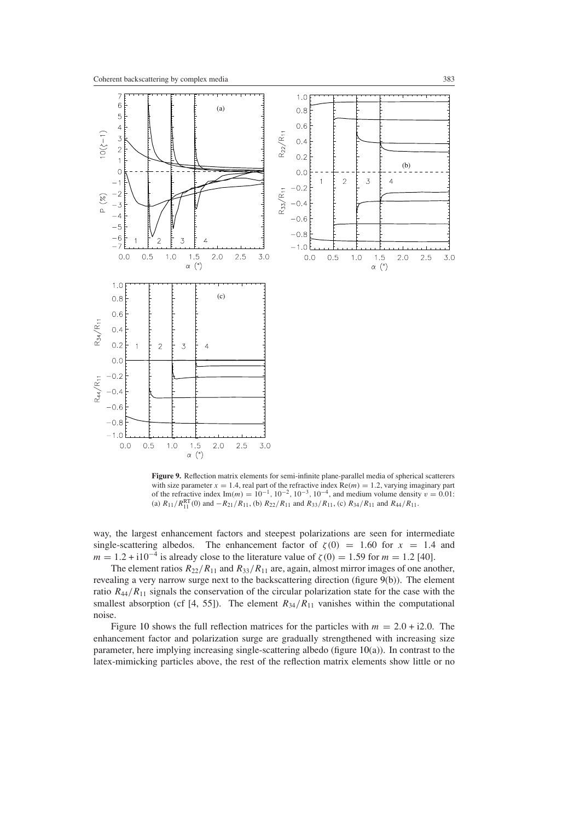

<span id="page-18-0"></span>**Figure 9.** Reflection matrix elements for semi-infinite plane-parallel media of spherical scatterers with size parameter  $x = 1.4$ , real part of the refractive index  $Re(m) = 1.2$ , varying imaginary part of the refractive index Im(*m*) =  $10^{-1}$ ,  $10^{-2}$ ,  $10^{-3}$ ,  $10^{-4}$ , and medium volume density  $v = 0.01$ : (a)  $R_{11}/R_{11}^{RT}(0)$  and  $-R_{21}/R_{11}$ , (b)  $R_{22}/R_{11}$  and  $R_{33}/R_{11}$ , (c)  $R_{34}/R_{11}$  and  $R_{44}/R_{11}$ .

way, the largest enhancement factors and steepest polarizations are seen for intermediate single-scattering albedos. The enhancement factor of  $\zeta(0) = 1.60$  for  $x = 1.4$  and *m* = 1.2 + i10<sup>-4</sup> is already close to the literature value of  $\zeta(0) = 1.59$  for *m* = 1.2 [40].

The element ratios  $R_{22}/R_{11}$  and  $R_{33}/R_{11}$  are, again, almost mirror images of one another, revealing a very narrow surge next to the backscattering direction (figure [9\(](#page-18-0)b)). The element ratio  $R_{44}/R_{11}$  signals the conservation of the circular polarization state for the case with the smallest absorption (cf [4, 55]). The element  $R_{34}/R_{11}$  vanishes within the computational noise.

Figure [10](#page-19-0) shows the full reflection matrices for the particles with  $m = 2.0 + 12.0$ . The enhancement factor and polarization surge are gradually strengthened with increasing size parameter, here implying increasing single-scattering albedo (figure [10\(](#page-19-0)a)). In contrast to the latex-mimicking particles above, the rest of the reflection matrix elements show little or no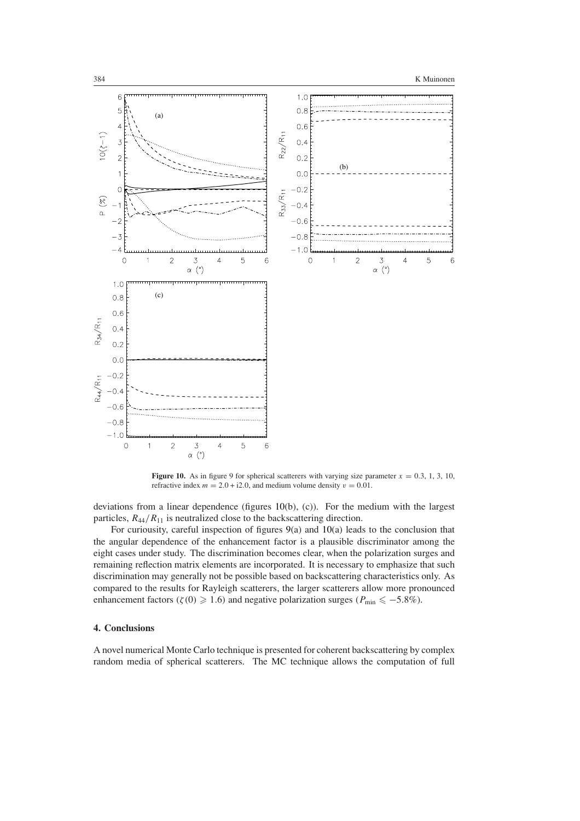

<span id="page-19-0"></span>**Figure 10.** As in figure 9 for spherical scatterers with varying size parameter  $x = 0.3, 1, 3, 10$ , refractive index  $m = 2.0 + i2.0$ , and medium volume density  $v = 0.01$ .

deviations from a linear dependence (figures [10\(](#page-19-0)b), (c)). For the medium with the largest particles,  $R_{44}/R_{11}$  is neutralized close to the backscattering direction.

For curiousity, careful inspection of figures  $9(a)$  $9(a)$  and  $10(a)$  $10(a)$  leads to the conclusion that the angular dependence of the enhancement factor is a plausible discriminator among the eight cases under study. The discrimination becomes clear, when the polarization surges and remaining reflection matrix elements are incorporated. It is necessary to emphasize that such discrimination may generally not be possible based on backscattering characteristics only. As compared to the results for Rayleigh scatterers, the larger scatterers allow more pronounced enhancement factors  $(\zeta(0) \geq 1.6)$  and negative polarization surges  $(P_{\min} \leq -5.8\%)$ .

# **4. Conclusions**

A novel numerical Monte Carlo technique is presented for coherent backscattering by complex random media of spherical scatterers. The MC technique allows the computation of full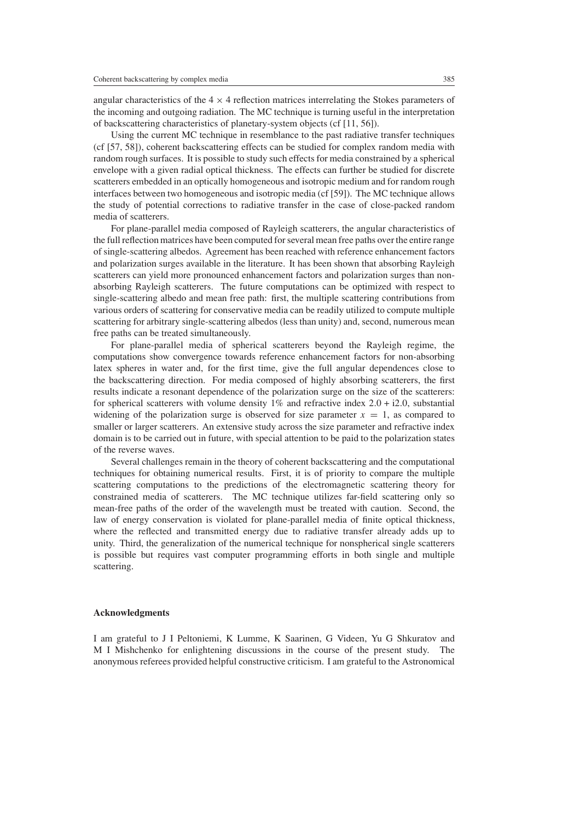angular characteristics of the  $4 \times 4$  reflection matrices interrelating the Stokes parameters of the incoming and outgoing radiation. The MC technique is turning useful in the interpretation of backscattering characteristics of planetary-system objects (cf [11, 56]).

Using the current MC technique in resemblance to the past radiative transfer techniques (cf [57, 58]), coherent backscattering effects can be studied for complex random media with random rough surfaces. It is possible to study such effects for media constrained by a spherical envelope with a given radial optical thickness. The effects can further be studied for discrete scatterers embedded in an optically homogeneous and isotropic medium and for random rough interfaces between two homogeneous and isotropic media (cf [59]). The MC technique allows the study of potential corrections to radiative transfer in the case of close-packed random media of scatterers.

For plane-parallel media composed of Rayleigh scatterers, the angular characteristics of the full reflection matrices have been computed for several mean free paths over the entire range of single-scattering albedos. Agreement has been reached with reference enhancement factors and polarization surges available in the literature. It has been shown that absorbing Rayleigh scatterers can yield more pronounced enhancement factors and polarization surges than nonabsorbing Rayleigh scatterers. The future computations can be optimized with respect to single-scattering albedo and mean free path: first, the multiple scattering contributions from various orders of scattering for conservative media can be readily utilized to compute multiple scattering for arbitrary single-scattering albedos (less than unity) and, second, numerous mean free paths can be treated simultaneously.

For plane-parallel media of spherical scatterers beyond the Rayleigh regime, the computations show convergence towards reference enhancement factors for non-absorbing latex spheres in water and, for the first time, give the full angular dependences close to the backscattering direction. For media composed of highly absorbing scatterers, the first results indicate a resonant dependence of the polarization surge on the size of the scatterers: for spherical scatterers with volume density 1% and refractive index 2*.*0 + i2*.*0, substantial widening of the polarization surge is observed for size parameter  $x = 1$ , as compared to smaller or larger scatterers. An extensive study across the size parameter and refractive index domain is to be carried out in future, with special attention to be paid to the polarization states of the reverse waves.

Several challenges remain in the theory of coherent backscattering and the computational techniques for obtaining numerical results. First, it is of priority to compare the multiple scattering computations to the predictions of the electromagnetic scattering theory for constrained media of scatterers. The MC technique utilizes far-field scattering only so mean-free paths of the order of the wavelength must be treated with caution. Second, the law of energy conservation is violated for plane-parallel media of finite optical thickness, where the reflected and transmitted energy due to radiative transfer already adds up to unity. Third, the generalization of the numerical technique for nonspherical single scatterers is possible but requires vast computer programming efforts in both single and multiple scattering.

## **Acknowledgments**

I am grateful to J I Peltoniemi, K Lumme, K Saarinen, G Videen, Yu G Shkuratov and M I Mishchenko for enlightening discussions in the course of the present study. The anonymous referees provided helpful constructive criticism. I am grateful to the Astronomical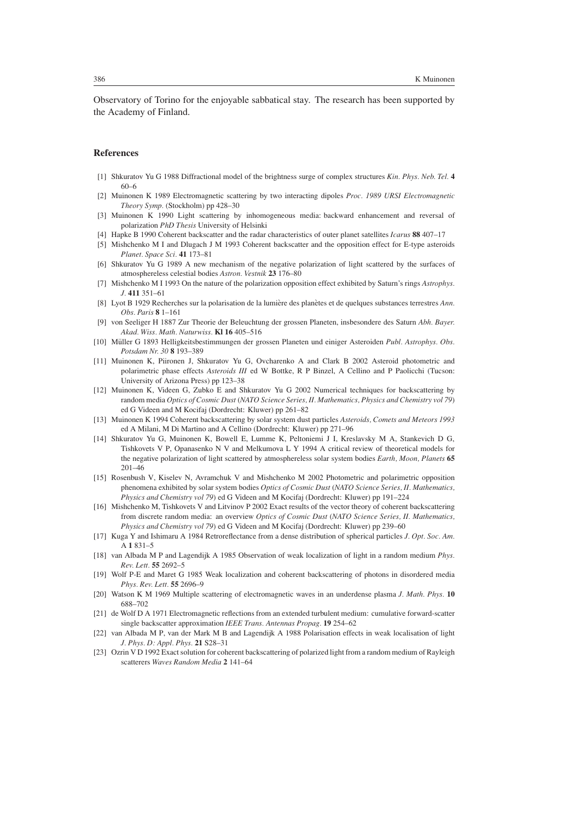Observatory of Torino for the enjoyable sabbatical stay. The research has been supported by the Academy of Finland.

## **References**

- [1] Shkuratov Yu G 1988 Diffractional model of the brightness surge of complex structures *Kin. Phys. Neb. Tel.* **4** 60–6
- [2] Muinonen K 1989 Electromagnetic scattering by two interacting dipoles *Proc. 1989 URSI Electromagnetic Theory Symp.* (Stockholm) pp 428–30
- [3] Muinonen K 1990 Light scattering by inhomogeneous media: backward enhancement and reversal of polarization *PhD Thesis* University of Helsinki
- [4] Hapke B 1990 Coherent backscatter and the radar characteristics of outer planet satellites *Icarus* **88** 407–17
- [5] Mishchenko M I and Dlugach J M 1993 Coherent backscatter and the opposition effect for E-type asteroids *Planet. Space Sci.* **41** 173–81
- [6] Shkuratov Yu G 1989 A new mechanism of the negative polarization of light scattered by the surfaces of atmosphereless celestial bodies *Astron. Vestnik* **23** 176–80
- [7] Mishchenko M I 1993 On the nature of the polarization opposition effect exhibited by Saturn's rings *Astrophys. J.* **411** 351–61
- [8] Lyot B 1929 Recherches sur la polarisation de la lumière des planètes et de quelques substances terrestres Ann. *Obs. Paris* **8** 1–161
- [9] von Seeliger H 1887 Zur Theorie der Beleuchtung der grossen Planeten, insbesondere des Saturn *Abh. Bayer. Akad. Wiss. Math. Naturwiss.* **Kl 16** 405–516
- [10] Müller G 1893 Helligkeitsbestimmungen der grossen Planeten und einiger Asteroiden Publ. Astrophys. Obs. *Potsdam Nr. 30* **8** 193–389
- [11] Muinonen K, Piironen J, Shkuratov Yu G, Ovcharenko A and Clark B 2002 Asteroid photometric and polarimetric phase effects *Asteroids III* ed W Bottke, R P Binzel, A Cellino and P Paolicchi (Tucson: University of Arizona Press) pp 123–38
- [12] Muinonen K, Videen G, Zubko E and Shkuratov Yu G 2002 Numerical techniques for backscattering by random media *Optics of Cosmic Dust* (*NATO Science Series, II. Mathematics, Physics and Chemistry vol 79*) ed G Videen and M Kocifaj (Dordrecht: Kluwer) pp 261–82
- [13] Muinonen K 1994 Coherent backscattering by solar system dust particles *Asteroids, Comets and Meteors 1993* ed A Milani, M Di Martino and A Cellino (Dordrecht: Kluwer) pp 271–96
- [14] Shkuratov Yu G, Muinonen K, Bowell E, Lumme K, Peltoniemi J I, Kreslavsky M A, Stankevich D G, Tishkovets V P, Opanasenko N V and Melkumova L Y 1994 A critical review of theoretical models for the negative polarization of light scattered by atmosphereless solar system bodies *Earth, Moon, Planets* **65** 201–46
- [15] Rosenbush V, Kiselev N, Avramchuk V and Mishchenko M 2002 Photometric and polarimetric opposition phenomena exhibited by solar system bodies *Optics of Cosmic Dust* (*NATO Science Series, II. Mathematics, Physics and Chemistry vol 79*) ed G Videen and M Kocifaj (Dordrecht: Kluwer) pp 191–224
- [16] Mishchenko M, Tishkovets V and Litvinov P 2002 Exact results of the vector theory of coherent backscattering from discrete random media: an overview *Optics of Cosmic Dust* (*NATO Science Series, II. Mathematics, Physics and Chemistry vol 79*) ed G Videen and M Kocifaj (Dordrecht: Kluwer) pp 239–60
- [17] Kuga Y and Ishimaru A 1984 Retroreflectance from a dense distribution of spherical particles *J. Opt. Soc. Am.* A **1** 831–5
- [18] van Albada M P and Lagendijk A 1985 Observation of weak localization of light in a random medium *Phys. Rev. Lett.* **55** 2692–5
- [19] Wolf P-E and Maret G 1985 Weak localization and coherent backscattering of photons in disordered media *Phys. Rev. Lett.* **55** 2696–9
- [20] Watson K M 1969 Multiple scattering of electromagnetic waves in an underdense plasma *J. Math. Phys.* **10** 688–702
- [21] de Wolf D A 1971 Electromagnetic reflections from an extended turbulent medium: cumulative forward-scatter single backscatter approximation *IEEE Trans. Antennas Propag.* **19** 254–62
- [22] van Albada M P, van der Mark M B and Lagendijk A 1988 Polarisation effects in weak localisation of light *J. Phys. D: Appl. Phys.* **21** S28–31
- [23] Ozrin V D 1992 Exact solution for coherent backscattering of polarized light from a random medium of Rayleigh scatterers *Waves Random Media* **2** 141–64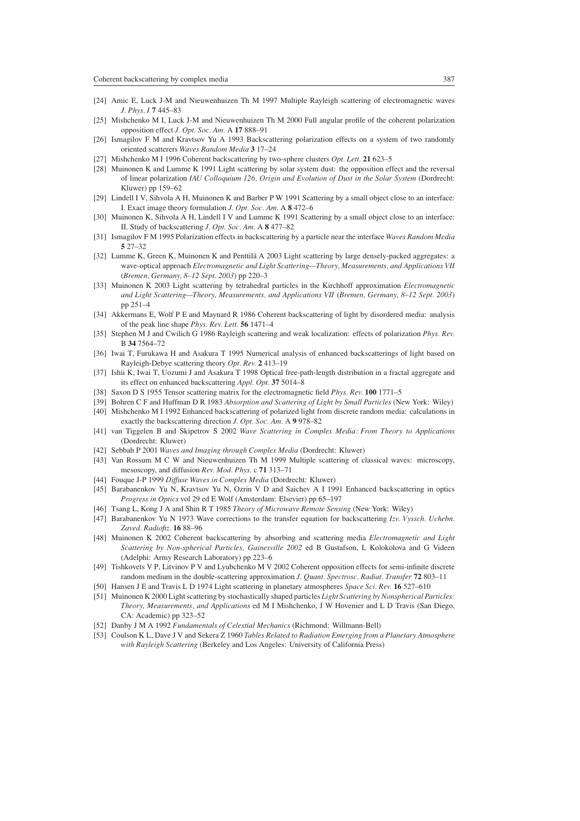- [24] Amic E, Luck J-M and Nieuwenhuizen Th M 1997 Multiple Rayleigh scattering of electromagnetic waves *J. Phys. I* **7** 445–83
- [25] Mishchenko M I, Luck J-M and Nieuwenhuizen Th M 2000 Full angular profile of the coherent polarization opposition effect *J. Opt. Soc. Am.* A **17** 888–91
- [26] Ismagilov F M and Kravtsov Yu A 1993 Backscattering polarization effects on a system of two randomly oriented scatterers *Waves Random Media* **3** 17–24
- [27] Mishchenko M I 1996 Coherent backscattering by two-sphere clusters *Opt. Lett.* **21** 623–5
- [28] Muinonen K and Lumme K 1991 Light scattering by solar system dust: the opposition effect and the reversal of linear polarization *IAU Colloquium 126, Origin and Evolution of Dust in the Solar System* (Dordrecht: Kluwer) pp 159–62
- [29] Lindell I V, Sihvola A H, Muinonen K and Barber P W 1991 Scattering by a small object close to an interface: I. Exact image theory formulation *J. Opt. Soc. Am.* A **8** 472–6
- [30] Muinonen K, Sihvola A H, Lindell I V and Lumme K 1991 Scattering by a small object close to an interface: II. Study of backscattering *J. Opt. Soc. Am.* A **8** 477–82
- [31] Ismagilov F M 1995 Polarization effects in backscattering by a particle near the interface *Waves Random Media* **5** 27–32
- [32] Lumme K, Green K, Muinonen K and Penttilä A 2003 Light scattering by large densely-packed aggregates: a wave-optical approach *Electromagnetic and Light Scattering—Theory, Measurements, and Applications VII* (*Bremen, Germany, 8–12 Sept. 2003*) pp 220–3
- [33] Muinonen K 2003 Light scattering by tetrahedral particles in the Kirchhoff approximation *Electromagnetic and Light Scattering—Theory, Measurements, and Applications VII* (*Bremen, Germany, 8–12 Sept. 2003*) pp 251–4
- [34] Akkermans E, Wolf P E and Maynard R 1986 Coherent backscattering of light by disordered media: analysis of the peak line shape *Phys. Rev. Lett.* **56** 1471–4
- [35] Stephen M J and Cwilich G 1986 Rayleigh scattering and weak localization: effects of polarization *Phys. Rev.* B **34** 7564–72
- [36] Iwai T, Furukawa H and Asakura T 1995 Numerical analysis of enhanced backscatterings of light based on Rayleigh-Debye scattering theory *Opt. Rev.* **2** 413–19
- [37] Ishii K, Iwai T, Uozumi J and Asakura T 1998 Optical free-path-length distribution in a fractal aggregate and its effect on enhanced backscattering *Appl. Opt.* **37** 5014–8
- [38] Saxon D S 1955 Tensor scattering matrix for the electromagnetic field *Phys. Rev.* **100** 1771–5
- [39] Bohren C F and Huffman D R 1983 *Absorption and Scattering of Light by Small Particles* (New York: Wiley)

[40] Mishchenko M I 1992 Enhanced backscattering of polarized light from discrete random media: calculations in exactly the backscattering direction *J. Opt. Soc. Am.* A **9** 978–82

- [41] van Tiggelen B and Skipetrov S 2002 *Wave Scattering in Complex Media: From Theory to Applications* (Dordrecht: Kluwer)
- [42] Sebbah P 2001 *Waves and Imaging through Complex Media* (Dordrecht: Kluwer)
- [43] Van Rossum M C W and Nieuwenhuizen Th M 1999 Multiple scattering of classical waves: microscopy, mesoscopy, and diffusion *Rev. Mod. Phys.* c **71** 313–71
- [44] Fouque J-P 1999 *Diffuse Waves in Complex Media* (Dordrecht: Kluwer)
- [45] Barabanenkov Yu N, Kravtsov Yu N, Ozrin V D and Saichev A I 1991 Enhanced backscattering in optics *Progress in Optics* vol 29 ed E Wolf (Amsterdam: Elsevier) pp 65–197
- [46] Tsang L, Kong J A and Shin R T 1985 *Theory of Microwave Remote Sensing* (New York: Wiley)
- [47] Barabanenkov Yu N 1973 Wave corrections to the transfer equation for backscattering *Izv. Vyssch. Uchebn. Zaved. Radiofiz.* **16** 88–96
- [48] Muinonen K 2002 Coherent backscattering by absorbing and scattering media *Electromagnetic and Light Scattering by Non-spherical Particles, Gainesville 2002* ed B Gustafson, L Kolokolova and G Videen (Adelphi: Army Research Laboratory) pp 223–6
- [49] Tishkovets V P, Litvinov P V and Lyubchenko M V 2002 Coherent opposition effects for semi-infinite discrete random medium in the double-scattering approximation *J. Quant. Spectrosc. Radiat. Transfer* **72** 803–11
- [50] Hansen J E and Travis L D 1974 Light scattering in planetary atmospheres *Space Sci. Rev.* **16** 527–610
- [51] Muinonen K 2000 Light scattering by stochastically shaped particles *Light Scattering by Nonspherical Particles: Theory, Measurements, and Applications* ed M I Mishchenko, J W Hovenier and L D Travis (San Diego, CA: Academic) pp 323–52
- [52] Danby J M A 1992 *Fundamentals of Celestial Mechanics* (Richmond: Willmann-Bell)
- [53] Coulson K L, Dave J V and Sekera Z 1960 *Tables Related to Radiation Emerging from a Planetary Atmosphere with Rayleigh Scattering* (Berkeley and Los Angeles: University of California Press)